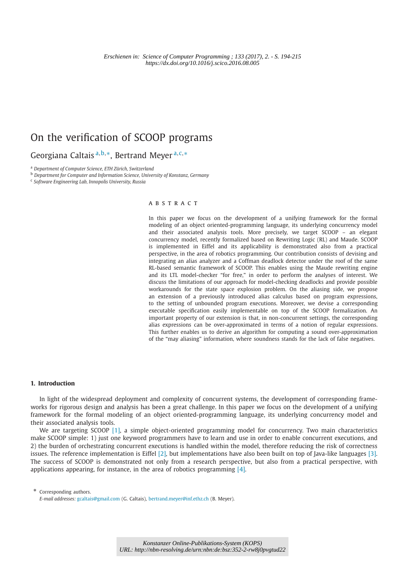# On the verification of SCOOP programs

# Georgiana Caltais<sup>a, b,\*</sup>, Bertrand Meyer<sup>a, c,\*</sup>

<sup>a</sup> *Department of Computer Science, ETH Zürich, Switzerland*

<sup>b</sup> *Department for Computer and Information Science, University of Konstanz, Germany*

<sup>c</sup> *Software Engineering Lab, Innopolis University, Russia*

#### a b s t r a c t

In this paper we focus on the development of a unifying framework for the formal modeling of an object oriented-programming language, its underlying concurrency model and their associated analysis tools. More precisely, we target SCOOP – an elegant concurrency model, recently formalized based on Rewriting Logic (RL) and Maude. SCOOP is implemented in Eiffel and its applicability is demonstrated also from a practical perspective, in the area of robotics programming. Our contribution consists of devising and integrating an alias analyzer and a Coffman deadlock detector under the roof of the same RL-based semantic framework of SCOOP. This enables using the Maude rewriting engine and its LTL model-checker "for free," in order to perform the analyses of interest. We discuss the limitations of our approach for model-checking deadlocks and provide possible workarounds for the state space explosion problem. On the aliasing side, we propose an extension of a previously introduced alias calculus based on program expressions, to the setting of unbounded program executions. Moreover, we devise a corresponding executable specification easily implementable on top of the SCOOP formalization. An important property of our extension is that, in non-concurrent settings, the corresponding alias expressions can be over-approximated in terms of a notion of regular expressions. This further enables us to derive an algorithm for computing a sound over-approximation of the "may aliasing" information, where soundness stands for the lack of false negatives.

#### **1. Introduction**

In light of the widespread deployment and complexity of concurrent systems, the development of corresponding frameworks for rigorous design and analysis has been a great challenge. In this paper we focus on the development of a unifying framework for the formal modeling of an object oriented-programming language, its underlying concurrency model and their associated analysis tools.

We are targeting SCOOP [1], a simple object-oriented programming model for concurrency. Two main characteristics make SCOOP simple: 1) just one keyword programmers have to learn and use in order to enable concurrent executions, and 2) the burden of orchestrating concurrent executions is handled within the model, therefore reducing the risk of correctness issues. The reference implementation is Eiffel [2], but implementations have also been built on top of Java-like languages [3]. The success of SCOOP is demonstrated not only from a research perspective, but also from a practical perspective, with applications appearing, for instance, in the area of robotics programming [4].

Corresponding authors.

*E-mail addresses:* gcaltais@gmail.com (G. Caltais), bertrand.meyer@inf.ethz.ch (B. Meyer).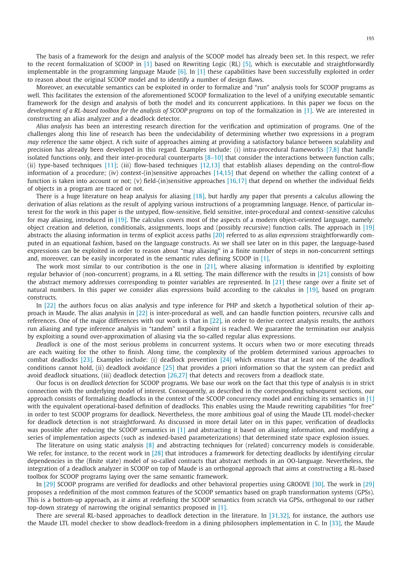The basis of a framework for the design and analysis of the SCOOP model has already been set. In this respect, we refer to the recent formalization of SCOOP in [1] based on Rewriting Logic (RL) [5], which is executable and straightforwardly implementable in the programming language Maude  $[6]$ . In  $[1]$  these capabilities have been successfully exploited in order to reason about the original SCOOP model and to identify a number of design flaws.

Moreover, an executable semantics can be exploited in order to formalize and "run" analysis tools for SCOOP programs as well. This facilitates the extension of the aforementioned SCOOP formalization to the level of a unifying executable semantic framework for the design and analysis of both the model and its concurrent applications. In this paper we focus on the *development of a RL-based toolbox for the analysis of SCOOP programs* on top of the formalization in [1]. We are interested in constructing an alias analyzer and a deadlock detector.

*Alias analysis* has been an interesting research direction for the verification and optimization of programs. One of the challenges along this line of research has been the undecidability of determining whether two expressions in a program *may* reference the same object. A rich suite of approaches aiming at providing a satisfactory balance between scalability and precision has already been developed in this regard. Examples include: (i) intra-procedural frameworks [7,8] that handle isolated functions only, and their inter-procedural counterparts  $[8-10]$  that consider the interactions between function calls; (ii) type-based techniques [11]; (iii) flow-based techniques [12,13] that establish aliases depending on the control-flow information of a procedure; (iv) context-(in)sensitive approaches [14,15] that depend on whether the calling context of a function is taken into account or not; (v) field-(in)sensitive approaches [16,17] that depend on whether the individual fields of objects in a program are traced or not.

There is a huge literature on heap analysis for aliasing [18], but hardly any paper that presents a calculus allowing the derivation of alias relations as the result of applying various instructions of a programming language. Hence, of particular interest for the work in this paper is the untyped, flow-sensitive, field sensitive, inter-procedural and context-sensitive calculus for may aliasing, introduced in [19]. The calculus covers most of the aspects of a modern object-oriented language, namely: object creation and deletion, conditionals, assignments, loops and (possibly recursive) function calls. The approach in [19] abstracts the aliasing information in terms of explicit access paths [20] referred to as *alias expressions* straightforwardly computed in an equational fashion, based on the language constructs. As we shall see later on in this paper, the language-based expressions can be exploited in order to reason about "may aliasing" in a finite number of steps in non-concurrent settings and, moreover, can be easily incorporated in the semantic rules defining SCOOP in [1].

The work most similar to our contribution is the one in  $[21]$ , where aliasing information is identified by exploiting regular behavior of (non-concurrent) programs, in a RL setting. The main difference with the results in [21] consists of how the abstract memory addresses corresponding to pointer variables are represented. In [21] these range over a finite set of natural numbers. In this paper we consider alias expressions build according to the calculus in [19], based on program constructs.

In [22] the authors focus on alias analysis and type inference for PHP and sketch a hypothetical solution of their approach in Maude. The alias analysis in [22] is inter-procedural as well, and can handle function pointers, recursive calls and references. One of the major differences with our work is that in [22], in order to derive correct analysis results, the authors run aliasing and type inference analysis in "tandem" until a fixpoint is reached. We guarantee the termination our analysis by exploiting a sound over-approximation of aliasing via the so-called regular alias expressions.

*Deadlock* is one of the most serious problems in concurrent systems. It occurs when two or more executing threads are each waiting for the other to finish. Along time, the complexity of the problem determined various approaches to combat deadlocks [23]. Examples include: (i) deadlock prevention [24] which ensures that at least one of the deadlock conditions cannot hold, (ii) deadlock avoidance [25] that provides a priori information so that the system can predict and avoid deadlock situations, (iii) deadlock detection [26,27] that detects and recovers from a deadlock state.

Our focus is on *deadlock detection* for SCOOP programs. We base our work on the fact that this type of analysis is in strict connection with the underlying model of interest. Consequently, as described in the corresponding subsequent sections, our approach consists of formalizing deadlocks in the context of the SCOOP concurrency model and enriching its semantics in [1] with the equivalent operational-based definition of deadlocks. This enables using the Maude rewriting capabilities "for free" in order to test SCOOP programs for deadlock. Nevertheless, the more ambitious goal of using the Maude LTL model-checker for deadlock detection is not straightforward. As discussed in more detail later on in this paper, verification of deadlocks was possible after reducing the SCOOP semantics in [1] and abstracting it based on aliasing information, and modifying a series of implementation aspects (such as indexed-based parameterizations) that determined state space explosion issues.

The literature on using static analysis [8] and abstracting techniques for (related) concurrency models is considerable. We refer, for instance, to the recent work in [28] that introduces a framework for detecting deadlocks by identifying circular dependencies in the (finite state) model of so-called contracts that abstract methods in an OO-language. Nevertheless, the integration of a deadlock analyzer in SCOOP on top of Maude is an orthogonal approach that aims at constructing a RL-based toolbox for SCOOP programs laying over the same semantic framework.

In [29] SCOOP programs are verified for deadlocks and other behavioral properties using GROOVE [30]. The work in [29] proposes a redefinition of the most common features of the SCOOP semantics based on graph transformation systems (GPSs). This is a bottom-up approach, as it aims at redefining the SCOOP semantics from scratch via GPSs, orthogonal to our rather top-down strategy of narrowing the original semantics proposed in [1].

There are several RL-based approaches to deadlock detection in the literature. In [31,32], for instance, the authors use the Maude LTL model checker to show deadlock-freedom in a dining philosophers implementation in C. In [33], the Maude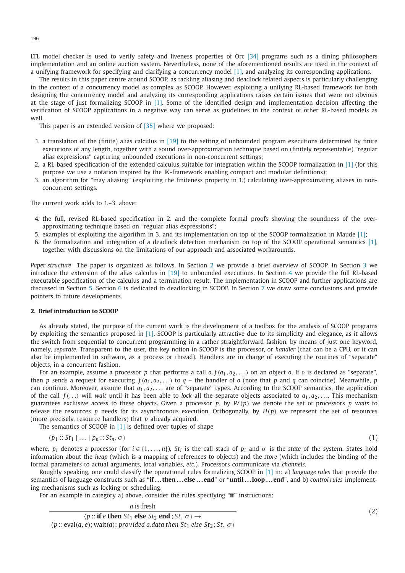LTL model checker is used to verify safety and liveness properties of Orc [34] programs such as a dining philosophers implementation and an online auction system. Nevertheless, none of the aforementioned results are used in the context of a unifying framework for specifying and clarifying a concurrency model [1], and analyzing its corresponding applications.

The results in this paper centre around SCOOP, as tackling aliasing and deadlock related aspects is particularly challenging in the context of a concurrency model as complex as SCOOP. However, exploiting a unifying RL-based framework for both designing the concurrency model and analyzing its corresponding applications raises certain issues that were not obvious at the stage of just formalizing SCOOP in [1]. Some of the identified design and implementation decision affecting the verification of SCOOP applications in a negative way can serve as guidelines in the context of other RL-based models as well.

This paper is an extended version of [35] where we proposed:

- 1. a translation of the (finite) alias calculus in [19] to the setting of unbounded program executions determined by finite executions of any length, together with a sound over-approximation technique based on (finitely representable) "regular alias expressions" capturing unbounded executions in non-concurrent settings;
- 2. a RL-based specification of the extended calculus suitable for integration within the SCOOP formalization in [1] (for this purpose we use a notation inspired by the K-framework enabling compact and modular definitions);
- 3. an algorithm for "may aliasing" (exploiting the finiteness property in 1.) calculating over-approximating aliases in nonconcurrent settings.

The current work adds to 1.–3. above:

- 4. the full, revised RL-based specification in 2. and the complete formal proofs showing the soundness of the overapproximating technique based on "regular alias expressions";
- 5. examples of exploiting the algorithm in 3. and its implementation on top of the SCOOP formalization in Maude [1];
- 6. the formalization and integration of a deadlock detection mechanism on top of the SCOOP operational semantics [1], together with discussions on the limitations of our approach and associated workarounds.

*Paper structure* The paper is organized as follows. In Section 2 we provide a brief overview of SCOOP. In Section 3 we introduce the extension of the alias calculus in [19] to unbounded executions. In Section 4 we provide the full RL-based executable specification of the calculus and a termination result. The implementation in SCOOP and further applications are discussed in Section 5. Section 6 is dedicated to deadlocking in SCOOP. In Section 7 we draw some conclusions and provide pointers to future developments.

#### **2. Brief introduction to SCOOP**

As already stated, the purpose of the current work is the development of a toolbox for the analysis of SCOOP programs by exploiting the semantics proposed in [1]. SCOOP is particularly attractive due to its simplicity and elegance, as it allows the switch from sequential to concurrent programming in a rather straightforward fashion, by means of just one keyword, namely, *separate*. Transparent to the user, the key notion in SCOOP is the processor, or *handler* (that can be a CPU, or it can also be implemented in software, as a process or thread). Handlers are in charge of executing the routines of "separate" objects, in a concurrent fashion.

For an example, assume a processor *p* that performs a call  $o.f(a_1, a_2,...)$  on an object *o*. If *o* is declared as "separate", then *p* sends a request for executing  $f(a_1, a_2,...)$  to  $q$  – the handler of *o* (note that *p* and *q* can coincide). Meanwhile, *p* can continue. Moreover, assume that *a*1,*a*2,... are of "separate" types. According to the SCOOP semantics, the application of the call  $f$ (...) will *wait* until it has been able to *lock* all the separate objects associated to  $a_1, a_2, \ldots$ . This mechanism guarantees exclusive access to these objects. Given a processor *p*, by *W* (*p*) we denote the set of processors *p waits* to release the resources *p* needs for its asynchronous execution. Orthogonally, by *H*(*p*) we represent the set of resources (more precisely, resource handlers) that *p* already acquired.

The semantics of SCOOP in [1] is defined over tuples of shape

$$
\langle p_1::St_1 \mid \ldots \mid p_n::St_n, \sigma \rangle \tag{1}
$$

(2)

where,  $p_i$  denotes a processor (for  $i \in \{1, \ldots, n\}$ ),  $St_i$  is the call stack of  $p_i$  and  $\sigma$  is the *state* of the system. States hold information about the *heap* (which is a mapping of references to objects) and the *store* (which includes the binding of the formal parameters to actual arguments, local variables, *etc*.). Processors communicate via *channels*.

Roughly speaking, one could classify the operational rules formalizing SCOOP in [1] in: a) *language rules* that provide the semantics of language constructs such as "if ...then ...else ...end" or "until ...loop ...end", and b) *control rules* implementing mechanisms such as locking or scheduling.

For an example in category a) above, consider the rules specifying "**if**" instructions:

*a* is fresh

$$
\langle p::\textbf{if } e \textbf{ then } St_1 \textbf{ else } St_2 \textbf{ end } ; St, \sigma \rangle \rightarrow
$$
  
\n $\langle p::\text{eval}(a, e); \text{wait}(a); \text{provided } a.data \text{ then } St_1 \text{ else } St_2; St, \sigma \rangle$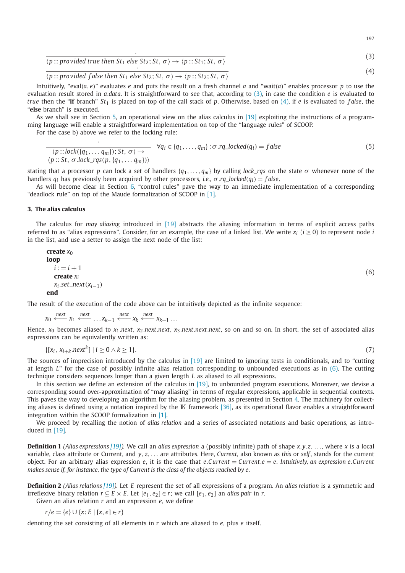197

$$
\frac{\cdot}{\langle p::provided\ true\ then\ St_1\ else\ St_2; St, \sigma \rangle \rightarrow \langle p::St_1; St, \sigma \rangle}
$$
\n(3)

$$
\frac{\cdot}{\langle p::provided\ false\ then\ St_1\ else\ St_2; St, \sigma \rangle \rightarrow \langle p::St_2; St, \sigma \rangle}
$$
\n(4)

Intuitively, "eval(*a*, *e*)" evaluates *e* and puts the result on a fresh channel *a* and "wait(*a*)" enables processor *p* to use the evaluation result stored in *a*.*data*. It is straightforward to see that, according to (3), in case the condition *e* is evaluated to *true* then the "**if** branch" *St*<sub>1</sub> is placed on top of the call stack of *p*. Otherwise, based on  $(4)$ , if *e* is evaluated to *f alse*, the "**else** branch" is executed.

As we shall see in Section 5, an operational view on the alias calculus in [19] exploiting the instructions of a programming language will enable a straightforward implementation on top of the "language rules" of SCOOP.

For the case b) above we refer to the locking rule:

$$
\langle p::lock(\lbrace q_1,\ldots q_m \rbrace); St, \sigma \rangle \rightarrow \forall q_i \in \lbrace q_1,\ldots,q_m \rbrace: \sigma.rq\_locked(q_i) = false
$$
\n
$$
\langle p::St, \sigma.lock\_rgs(p, \lbrace q_1,\ldots q_m \rbrace) \rangle
$$
\n
$$
\langle p::St, \sigma.lock\_rgs(p, \lbrace q_1,\ldots q_m \rbrace) \rangle
$$
\n
$$
(5)
$$

stating that a processor *p* can lock a set of handlers  $\{q_1, \ldots, q_m\}$  by calling *lock\_rqs* on the state  $\sigma$  whenever none of the handlers *qi* has previously been acquired by other processors, *i.e.*, σ.*rq*\_*locked*(*qi*) = *f alse*.

As will become clear in Section 6, "control rules" pave the way to an immediate implementation of a corresponding "deadlock rule" on top of the Maude formalization of SCOOP in [1].

#### **3. The alias calculus**

The calculus for *may aliasing* introduced in [19] abstracts the aliasing information in terms of explicit access paths referred to as "alias expressions". Consider, for an example, the case of a linked list. We write  $x_i$  ( $i \ge 0$ ) to represent node *i* in the list, and use a setter to assign the next node of the list:

$$
\begin{array}{ll}\n\text{create } x_0 \\
\text{loop} \\
i := i + 1 \\
\text{create } x_i \\
x_i.set\_next(x_{i-1}) \\
\text{end}\n\end{array} \tag{6}
$$

The result of the execution of the code above can be intuitively depicted as the infinite sequence:

 $x_0 \xleftarrow{\text{next}} x_1 \xleftarrow{\text{next}} \dots x_{k-1} \xleftarrow{\text{next}} x_k \xleftarrow{\text{next}} x_{k+1} \dots$ 

Hence, *x*<sup>0</sup> becomes aliased to *x*1.*next*, *x*2.*next*.*next*, *x*3.*next*.*next*.*next*, so on and so on. In short, the set of associated alias expressions can be equivalently written as:

$$
\{[x_i, x_{i+k} . \text{next}^k] \mid i \geq 0 \land k \geq 1\}.
$$
\n
$$
(7)
$$

The sources of imprecision introduced by the calculus in [19] are limited to ignoring tests in conditionals, and to "cutting at length *L*" for the case of possibly infinite alias relation corresponding to unbounded executions as in (6). The cutting technique considers sequences longer than a given length *L* as aliased to all expressions.

In this section we define an extension of the calculus in [19], to unbounded program executions. Moreover, we devise a corresponding sound over-approximation of "may aliasing" in terms of regular expressions, applicable in sequential contexts. This paves the way to developing an algorithm for the aliasing problem, as presented in Section 4. The machinery for collecting aliases is defined using a notation inspired by the K framework [36], as its operational flavor enables a straightforward integration within the SCOOP formalization in [1].

We proceed by recalling the notion of *alias relation* and a series of associated notations and basic operations, as introduced in [19].

**Definition 1** *(Alias expressions [19]).* We call an *alias expression* a (possibly infinite) path of shape *x*.*y*.*z*. ..., where *x* is a local variable, class attribute or Current, and *y*, *z*,... are attributes. Here, *Current*, also known as *this* or *self*, stands for the current object. For an arbitrary alias expression *e*, it is the case that *e*. *Current* = *Current*. *e* = *e*. *Intuitively, an expression <i>e*. *Current makes sense if, for instance, the type of Current is the class of the objects reached by e.*

**Definition 2** *(Alias relations [19]).* Let *E* represent the set of all expressions of a program. An *alias relation* is a symmetric and irreflexive binary relation *r* ⊆ *E* × *E*. Let [*e*1, *e*2] ∈ *r*; we call [*e*1, *e*2] an *alias pair* in *r*.

Given an alias relation *r* and an expression *e*, we define

$$
r/e = \{e\} \cup \{x : E \mid [x, e] \in r\}
$$

denoting the set consisting of all elements in *r* which are aliased to *e*, plus *e* itself.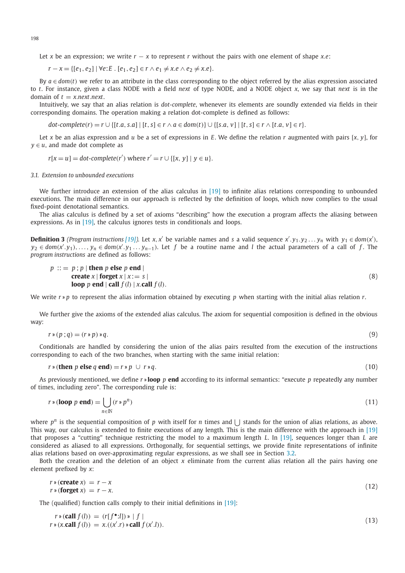Let *x* be an expression; we write *r* − *x* to represent *r* without the pairs with one element of shape *x*.*e*:

$$
r - x = \{ [e_1, e_2] \mid \forall e : E \cdot [e_1, e_2] \in r \wedge e_1 \neq x \cdot e \wedge e_2 \neq x \cdot e \}.
$$

By *a* ∈ *dom*(*t*) we refer to an attribute in the class corresponding to the object referred by the alias expression associated to *t*. For instance, given a class NODE with a field *next* of type NODE, and a NODE object *x*, we say that *next* is in the domain of  $t = x.next.next$ .

Intuitively, we say that an alias relation is *dot-complete*, whenever its elements are soundly extended via fields in their corresponding domains. The operation making a relation dot-complete is defined as follows:

 $dot-complete(r) = r \cup \{[t.a, s.a] \mid [t, s] \in r \land a \in dom(t)\} \cup \{[s.a, v] \mid [t, s] \in r \land [t.a, v] \in r\}.$ 

Let *x* be an alias expression and *u* be a set of expressions in *E*. We define the relation *r* augmented with pairs [*x*, *y*], for  $y \in u$ , and made dot complete as

*r*[*x* = *u*] = *dot-complete*(*r*<sup> $'$ </sup>) where *r*<sup> $'$ </sup> = *r* ∪ {[*x*, *y*] | *y* ∈ *u*}.

# *3.1. Extension to unbounded executions*

We further introduce an extension of the alias calculus in [19] to infinite alias relations corresponding to unbounded executions. The main difference in our approach is reflected by the definition of loops, which now complies to the usual fixed-point denotational semantics.

The alias calculus is defined by a set of axioms "describing" how the execution a program affects the aliasing between expressions. As in [19], the calculus ignores tests in conditionals and loops.

**Definition 3** (Program instructions [19]). Let x, x' be variable names and s a valid sequence x'.y<sub>1</sub>.y<sub>2</sub>...y<sub>n</sub> with y<sub>1</sub>  $\in$  dom(x'), *y*<sub>2</sub> ∈ *dom*(*x'*.*y*<sub>1</sub>),..., *y<sub>n</sub>* ∈ *dom*(*x'*.*y*<sub>1</sub>..., *y<sub>n−1</sub>*). Let *f* be a routine name and *l* the actual parameters of a call of *f*. The *program instructions* are defined as follows:

$$
p ::= p; p | \text{then } p \text{ else } p \text{ end } |
$$
  
create x | forget x | x := s |  
loop p end | call  $f(l)$  | x-call  $f(l)$ . (8)

We write *r* » *p* to represent the alias information obtained by executing *p* when starting with the initial alias relation *r*.

We further give the axioms of the extended alias calculus. The axiom for sequential composition is defined in the obvious way:

$$
r \ast (p;q) = (r \ast p) \ast q. \tag{9}
$$

Conditionals are handled by considering the union of the alias pairs resulted from the execution of the instructions corresponding to each of the two branches, when starting with the same initial relation:

$$
r*(\text{then } p \text{ else } q \text{ end}) = r * p \cup r * q. \tag{10}
$$

As previously mentioned, we define *r* » **loop** *p* **end** according to its informal semantics: "execute *p* repeatedly any number of times, including zero". The corresponding rule is:

$$
r \circ (\text{loop } p \text{ end}) = \bigcup_{n \in \mathbb{N}} (r \circ p^n) \tag{11}
$$

where  $p^n$  is the sequential composition of  $p$  with itself for  $n$  times and  $\vert \cdot \vert$  stands for the union of alias relations, as above. This way, our calculus is extended to finite executions of any length. This is the main difference with the approach in [19] that proposes a "cutting" technique restricting the model to a maximum length *L*. In [19], sequences longer than *L* are considered as aliased to all expressions. Orthogonally, for sequential settings, we provide finite representations of infinite alias relations based on over-approximating regular expressions, as we shall see in Section 3.2.

Both the creation and the deletion of an object *x* eliminate from the current alias relation all the pairs having one element prefixed by *x*:

$$
r \times (\text{create } x) = r - x
$$
  
\n
$$
r \times (\text{forget } x) = r - x.
$$
\n(12)

The (qualified) function calls comply to their initial definitions in [19]:

$$
r \circ (\text{call } f(l)) = (r[f^{\bullet}:l]) \circ |f|
$$
  
\n
$$
r \circ (x.\text{call } f(l)) = x.((x'.r) \circ \text{call } f(x'.l)).
$$
\n(13)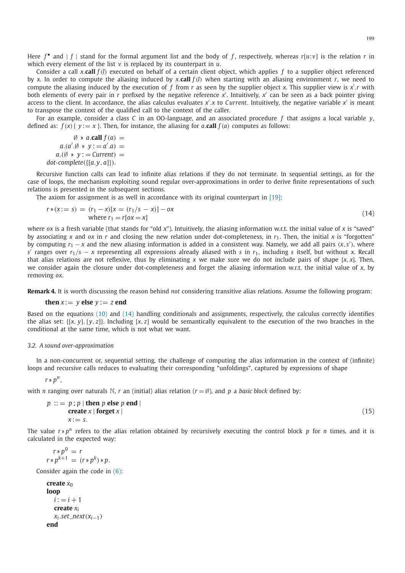199

Here  $f^{\bullet}$  and  $|f|$  stand for the formal argument list and the body of f, respectively, whereas  $r[u:v]$  is the relation r in which every element of the list *v* is replaced by its counterpart in *u*.

Consider a call *x*.**call** *f* (*l*) executed on behalf of a certain client object, which applies *f* to a supplier object referenced by *x*. In order to compute the aliasing induced by *x*.**call** *f* (*l*) when starting with an aliasing environment *r*, we need to compute the aliasing induced by the execution of *f* from *r* as seen by the supplier object *x*. This supplier view is *x* .*r* with both elements of every pair in *r* prefixed by the negative reference *x* . Intuitively, *x* can be seen as a back pointer giving access to the client. In accordance, the alias calculus evaluates *x* .*x* to *Current*. Intuitively, the negative variable *x* is meant to transpose the context of the qualified call to the context of the caller.

For an example, consider a class *C* in an OO-language, and an associated procedure *f* that assigns a local variable *y*, defined as:  $f(x)$  {  $y := x$  }. Then, for instance, the aliasing for *a*.call  $f(a)$  computes as follows:

 $\emptyset$  » *a*.call  $f(a) =$  $a.(a'.\emptyset \times y := a'.a) =$  $a.(\emptyset \rightarrow v) =$  *Current* $) =$ *dot-complete*({[*a*.*y*,*a*]}).

Recursive function calls can lead to infinite alias relations if they do not terminate. In sequential settings, as for the case of loops, the mechanism exploiting sound regular over-approximations in order to derive finite representations of such relations is presented in the subsequent sections.

The axiom for assignment is as well in accordance with its original counterpart in [19]:

$$
r \times (x := s) = (r_1 - x)[x = (r_1/s - x)] - 0x
$$
  
where  $r_1 = r[0x = x]$  (14)

where *ox* is a fresh variable (that stands for "old *x*"). Intuitively, the aliasing information w.r.t. the initial value of *x* is "saved" by associating x and *ox* in r and closing the new relation under dot-completeness, in  $r_1$ . Then, the initial x is "forgotten" by computing  $r_1 - x$  and the new aliasing information is added in a consistent way. Namely, we add all pairs  $(x, s')$ , where *s* ranges over *r*1/*s* − *x* representing all expressions already aliased with *s* in *r*1, including *s* itself, but without *x*. Recall that alias relations are not reflexive, thus by eliminating *x* we make sure we do not include pairs of shape [*x*, *x*]. Then, we consider again the closure under dot-completeness and forget the aliasing information w.r.t. the initial value of *x*, by removing *ox*.

**Remark 4.** It is worth discussing the reason behind *not* considering transitive alias relations. Assume the following program:

# **then**  $x := v$  **else**  $v := z$  **end**

Based on the equations (10) and (14) handling conditionals and assignments, respectively, the calculus correctly identifies the alias set:  $\{[x, y], [y, z]\}$ . Including  $[x, z]$  would be semantically equivalent to the execution of the two branches in the conditional at the same time, which is not what we want.

# *3.2. A sound over-approximation*

In a non-concurrent or, sequential setting, the challenge of computing the alias information in the context of (infinite) loops and recursive calls reduces to evaluating their corresponding "unfoldings", captured by expressions of shape

 $r \times p^n$ ,

with *n* ranging over naturals N, *r* an (initial) alias relation  $(r = \emptyset)$ , and *p* a *basic block* defined by:

| $p ::= p : p  $ then p else p end |      |
|-----------------------------------|------|
| create $x \mid$ forget $x \mid$   | (15) |
| $x := s$ .                        |      |

The value  $r * p^n$  refers to the alias relation obtained by recursively executing the control block  $p$  for  $n$  times, and it is calculated in the expected way:

$$
r * p0 = r
$$
  

$$
r * pk+1 = (r * pk) * p.
$$

Consider again the code in (6):

```
create x<sup>0</sup>
loop
   i := i + 1create xi
   xi.set_next(xi−1)
end
```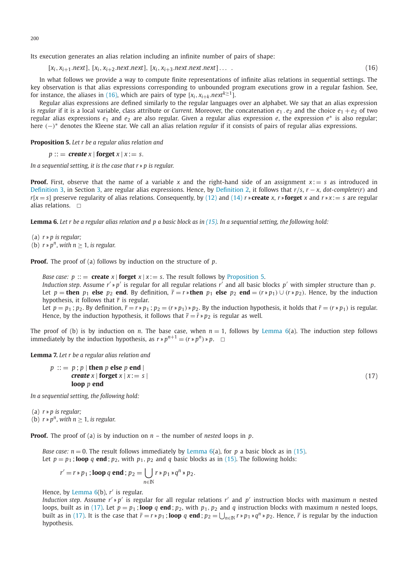Its execution generates an alias relation including an infinite number of pairs of shape:

$$
[x_i, x_{i+1} \text{.next}], [x_i, x_{i+2} \text{.next} \text{.next}], [x_i, x_{i+3} \text{.next} \text{.next} \text{.next}].\tag{16}
$$

In what follows we provide a way to compute finite representations of infinite alias relations in sequential settings. The key observation is that alias expressions corresponding to unbounded program executions grow in a regular fashion. See, for instance, the aliases in (16), which are pairs of type  $[x_i, x_{i+k}$ .*next*<sup> $k \ge 1$ </sup>.

Regular alias expressions are defined similarly to the regular languages over an alphabet. We say that an alias expression is *regular* if it is a local variable, class attribute or *Current*. Moreover, the concatenation  $e_1$ ,  $e_2$  and the choice  $e_1 + e_2$  of two regular alias expressions *e*<sup>1</sup> and *e*<sup>2</sup> are also regular. Given a regular alias expression *e*, the expression *e*∗ is also regular; here (−)<sup>∗</sup> denotes the Kleene star. We call an alias relation *regular* if it consists of pairs of regular alias expressions.

**Proposition 5.** *Let r be a regular alias relation and*

 $p ::=$  *create*  $x \mid$  **forget**  $x \mid x := s$ .

*In a sequential setting, it is the case that r* » *p is regular.*

**Proof.** First, observe that the name of a variable *x* and the right-hand side of an assignment  $x := s$  as introduced in Definition 3, in Section 3, are regular alias expressions. Hence, by Definition 2, it follows that *r*/*s*, *r* − *x*, *dot-complete*(*r*) and *r*[ $x = s$ ] preserve regularity of alias relations. Consequently, by (12) and (14) *r*  $\alpha$  **create** *x*, *r*  $\alpha$  **forget** *x* and *r*  $\alpha$ *x* := *s* are regular alias relations.  $\Box$ 

**Lemma 6.** Let r be a regular alias relation and p a basic block as in  $(15)$ . In a sequential setting, the following hold:

(a) *r* » *p is regular;* (b)  $r * p^n$ , with  $n \geq 1$ , *is regular.* 

**Proof.** The proof of (a) follows by induction on the structure of *p*.

*Base case:*  $p ::=$  **create**  $x |$  **forget**  $x | x := s$ . The result follows by Proposition 5.

*Induction step*. Assume *r'* » *p'* is regular for all regular relations *r'* and all basic blocks *p'* with simpler structure than *p*. Let  $p =$  then  $p_1$  else  $p_2$  end. By definition,  $\overline{r} = r \times$  then  $p_1$  else  $p_2$  end =  $(r \times p_1) \cup (r \times p_2)$ . Hence, by the induction hypothesis, it follows that  $\bar{r}$  is regular.

Let  $p = p_1$ ;  $p_2$ . By definition,  $\overline{r} = r * p_1$ ;  $p_2 = (r * p_1) * p_2$ . By the induction hypothesis, it holds that  $\tilde{r} = (r * p_1)$  is regular. Hence, by the induction hypothesis, it follows that  $\bar{r} = \tilde{r} * p_2$  is regular as well.

(17)

The proof of (b) is by induction on *n*. The base case, when  $n = 1$ , follows by Lemma 6(a). The induction step follows immediately by the induction hypothesis, as  $r * p^{n+1} = (r * p^n) * p$ .  $\Box$ 

**Lemma 7.** *Let r be a regular alias relation and*

 $p ::= p$ ;  $p |$  **then**  $p$  **else**  $p$  **end**  $p$ *create*  $x \mid$  **forget**  $x \mid x := s \mid$ **loop** *p* **end**

*In a sequential setting, the following hold:*

(a) *r* » *p is regular;* (b)  $r * p^n$ , with  $n \geq 1$ , is regular.

**Proof.** The proof of (a) is by induction on *n* – the number of *nested* loops in *p*.

 $\mathbf{r}$ 

*Base case:*  $n = 0$ . The result follows immediately by Lemma 6(a), for *p* a basic block as in (15). Let  $p = p_1$ ; loop *q* end;  $p_2$ , with  $p_1$ ,  $p_2$  and *q* basic blocks as in (15). The following holds:

$$
r' = r * p_1; \textbf{loop } q \textbf{ end}; p_2 = \bigcup_{n \in \mathbb{N}} r * p_1 * q^n * p_2.
$$

Hence, by Lemma 6(b), r' is regular.

*Induction step*. Assume *r* » *p* is regular for all regular relations *r* and *p* instruction blocks with maximum *n* nested loops, built as in (17). Let  $p = p_1$ ; loop *q* end;  $p_2$ , with  $p_1$ ,  $p_2$  and *q* instruction blocks with maximum *n* nested loops, built as in (17). It is the case that  $\overline{r} = r * p_1$ ; loop *q* end;  $p_2 = \bigcup_{n \in \mathbb{N}} r * p_1 * q^n * p_2$ . Hence,  $\overline{r}$  is regular by the induction hypothesis.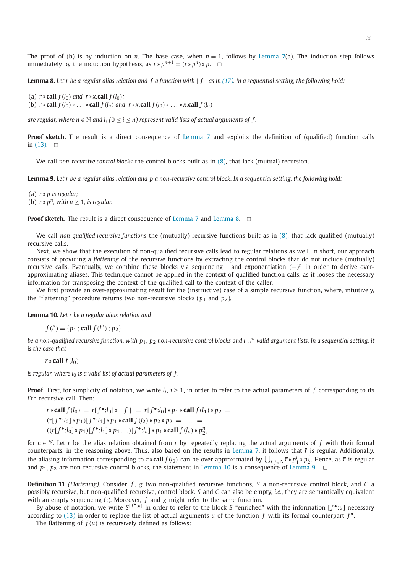The proof of (b) is by induction on *n*. The base case, when  $n = 1$ , follows by Lemma 7(a). The induction step follows immediately by the induction hypothesis, as  $r \times p^{n+1} = (r \times p^n) \times p$ .  $\Box$ 

**Lemma 8.** Let r be a regular alias relation and  $f$  a function with  $|f|$  as in (17). In a sequential setting, the following hold:

(a)  $r \times \text{call } f(l_0)$  and  $r \times x$ .call  $f(l_0)$ ; (b)  $r \times \text{call } f(l_0) \times \ldots \times \text{call } f(l_n)$  and  $r \times \text{call } f(l_0) \times \ldots \times \text{x-call } f(l_n)$ 

*are regular,* where  $n \in \mathbb{N}$  *and*  $l_i$  ( $0 \le i \le n$ ) *represent* valid lists of *actual* arguments of f.

**Proof sketch.** The result is a direct consequence of Lemma 7 and exploits the definition of (qualified) function calls in  $(13)$ .  $\Box$ 

We call *non-recursive control blocks* the control blocks built as in (8), that lack (mutual) recursion.

Lemma 9. Let r be a regular alias relation and p a non-recursive control block. In a sequential setting, the following hold:

(a) *r* » *p is regular;* (b)  $r * p^n$ , with  $n \geq 1$ , is regular.

**Proof sketch.** The result is a direct consequence of Lemma 7 and Lemma 8. □

We call *non-qualified recursive functions* the (mutually) recursive functions built as in (8), that lack qualified (mutually) recursive calls.

Next, we show that the execution of non-qualified recursive calls lead to regular relations as well. In short, our approach consists of providing a *flattening* of the recursive functions by extracting the control blocks that do not include (mutually) recursive calls. Eventually, we combine these blocks via sequencing ; and exponentiation (−) *<sup>n</sup>* in order to derive overapproximating aliases. This technique cannot be applied in the context of qualified function calls, as it looses the necessary information for transposing the context of the qualified call to the context of the caller.

We first provide an over-approximating result for the (instructive) case of a simple recursive function, where, intuitively, the "flattening" procedure returns two non-recursive blocks  $(p_1$  and  $p_2)$ .

**Lemma 10.** *Let r be a regular alias relation and*

 $f(l') = \{p_1$ ; **call**  $f(l'')$ ;  $p_2\}$ 

be a non-qualified recursive function, with  $p_1$ ,  $p_2$  non-recursive control blocks and l' , l'' valid argument lists. In a sequential setting, it *is the case that*

 $r \times$  **call**  $f(l_0)$ 

*is regular, where l*<sup>0</sup> *is a valid list of actual parameters of f .*

**Proof.** First, for simplicity of notation, we write  $l_i$ ,  $i > 1$ , in order to refer to the actual parameters of f corresponding to its *i*'th recursive call. Then:

 $r \times \text{call } f(l_0) = r[f^{\bullet}:l_0] \times |f| = r[f^{\bullet}:l_0] \times p_1 \times \text{call } f(l_1) \times p_2 =$  $(r[f^{\bullet}:l_0] \times p_1)[f^{\bullet}:l_1] \times p_1 \times \text{call } f(l_2) \times p_2 \times p_2 = \ldots$  $((r[f^{\bullet}:l_0] \times p_1)[f^{\bullet}:l_1] \times p_1 \dots)[f^{\bullet}:l_n] \times p_1 \times \text{call } f(l_n) \times p_2^n,$ 

for  $n \in \mathbb{N}$ . Let  $\bar{r}$  be the alias relation obtained from *r* by repeatedly replacing the actual arguments of f with their formal counterparts, in the reasoning above. Thus, also based on the results in Lemma 7, it follows that  $\bar{r}$  is regular. Additionally, the aliasing information corresponding to *r* » **call**  $f(l_0)$  can be over-approximated by  $\bigcup_{i,j\in\mathbb{N}}\overline{r}$  »  $p_1^j$  »  $p_2^j$ . Hence, as  $\overline{r}$  is regular and  $p_1$ ,  $p_2$  are non-recursive control blocks, the statement in Lemma 10 is a consequence of Lemma 9.  $\Box$ 

**Definition 11** *(Flattening).* Consider *f* , *g* two non-qualified recursive functions, *S* a non-recursive control block, and *C* a possibly recursive, but non-qualified recursive, control block. *S* and *C* can also be empty, *i.e.*, they are semantically equivalent with an empty sequencing (;). Moreover, *f* and *g* might refer to the same function.

By abuse of notation, we write  $S^{[f^* : u]}$  in order to refer to the block *S* "enriched" with the information  $[f^* : u]$  necessary according to (13) in order to replace the list of actual arguments *u* of the function *f* with its formal counterpart *f* •.

The flattening of  $f(u)$  is recursively defined as follows: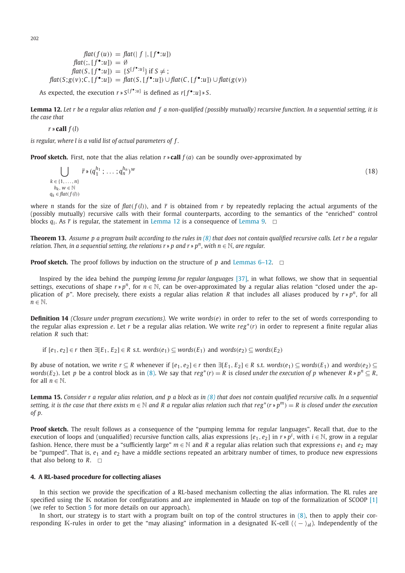$$
flat(f(u)) = flat(|f|, [f^{\bullet}:u])
$$
  
\n
$$
flat(:, [f^{\bullet}:u]) = \emptyset
$$
  
\n
$$
flat(S, [f^{\bullet}:u]) = \{S^{[f^{\bullet}:u]}\} \text{ if } S \neq;
$$
  
\n
$$
flat(S;g(v);C, [f^{\bullet}:u]) = flat(S, [f^{\bullet}:u]) \cup flat(C, [f^{\bullet}:u]) \cup flat(g(v))
$$

As expected, the execution  $r \times S^{[f^*:u]}$  is defined as  $r[f^*:u] \times S$ .

Lemma 12. Let  $r$  be a regular alias relation and  $f$  a non-qualified (possibly mutually) recursive function. In a sequential setting, it is *the case that*

*r* » **call** *f* (*l*)

*is regular, where l is a valid list of actual parameters of f .*

**Proof sketch.** First, note that the alias relation  $r \times \text{call } f(a)$  can be soundly over-approximated by

$$
\bigcup_{\substack{k \in \{1,\ldots,n\} \\ h_k, w \in \mathbb{N} \\ q_k \in \text{flat}(f(l))}} \overline{r} \cdot a(n_1^{h_1}; \ldots; q_n^{h_n})^w
$$
\n(18)

where *n* stands for the size of *flat*(*f*(*l*)), and  $\bar{r}$  is obtained from *r* by repeatedly replacing the actual arguments of the (possibly mutually) recursive calls with their formal counterparts, according to the semantics of the "enriched" control blocks  $q_i$ . As  $\bar{r}$  is regular, the statement in Lemma 12 is a consequence of Lemma 9.  $\Box$ 

**Theorem 13.** Assume p a program built according to the rules in  $(8)$  that does not contain qualified recursive calls. Let r be a regular *relation. Then, in a sequential setting, the relations*  $r \times p$  *and*  $r \times p^n$ *, with*  $n \in \mathbb{N}$ *, are regular.* 

**Proof sketch.** The proof follows by induction on the structure of *p* and Lemmas 6–12.  $\Box$ 

Inspired by the idea behind the *pumping lemma for regular languages* [37], in what follows, we show that in sequential settings, executions of shape  $r * p^n$ , for  $n \in \mathbb{N}$ , can be over-approximated by a regular alias relation "closed under the application of *p*". More precisely, there exists a regular alias relation *R* that includes all aliases produced by *r* » *pn*, for all *n* ∈ <sup>N</sup>.

**Definition 14** *(Closure under program executions).* We write *words*(*e*) in order to refer to the set of words corresponding to the regular alias expression *e*. Let *r* be a regular alias relation. We write *reg*∗(*r*) in order to represent a finite regular alias relation *R* such that:

if [*e*1, *e*2] ∈ *r* then ∃[*E*1, *E*2] ∈ *R* s.t. *words*(*e*1) ⊆ *words*(*E*1) and *words*(*e*2) ⊆ *words*(*E*2)

By abuse of notation, we write  $r \subseteq R$  whenever if  $[e_1, e_2] \in r$  then  $\exists [E_1, E_2] \in R$  s.t.  $words(e_1) \subseteq words(E_1)$  and  $words(e_2) \subseteq$ words(E<sub>2</sub>). Let p be a control block as in (8). We say that  $reg^*(r) = R$  is closed under the execution of p whenever  $R \times p^n \subset R$ , for all  $n \in \mathbb{N}$ .

**Lemma 15.** Consider  $r$  a regular alias relation, and  $p$  a block as in  $(8)$  that does not contain qualified recursive calls. In a sequential setting, it is the case that there exists  $m \in \mathbb{N}$  and R a regular alias relation such that  $reg^*(r \times p^m) = R$  is closed under the execution *of p.*

**Proof sketch.** The result follows as a consequence of the "pumping lemma for regular languages". Recall that, due to the execution of loops and (unqualified) recursive function calls, alias expressions  $[e_1, e_2]$  in  $r * p^i$ , with  $i \in \mathbb{N}$ , grow in a regular fashion. Hence, there must be a "sufficiently large"  $m \in \mathbb{N}$  and R a regular alias relation such that expressions  $e_1$  and  $e_2$  may be "pumped". That is, *e*<sup>1</sup> and *e*<sup>2</sup> have a middle sections repeated an arbitrary number of times, to produce new expressions that also belong to  $R$ .  $\square$ 

#### **4. A RL-based procedure for collecting aliases**

In this section we provide the specification of a RL-based mechanism collecting the alias information. The RL rules are specified using the K notation for configurations and are implemented in Maude on top of the formalization of SCOOP  $[1]$ (we refer to Section 5 for more details on our approach).

In short, our strategy is to start with a program built on top of the control structures in (8), then to apply their corresponding K-rules in order to get the "may aliasing" information in a designated K-cell  $($   $)$ <sub>al</sub>). Independently of the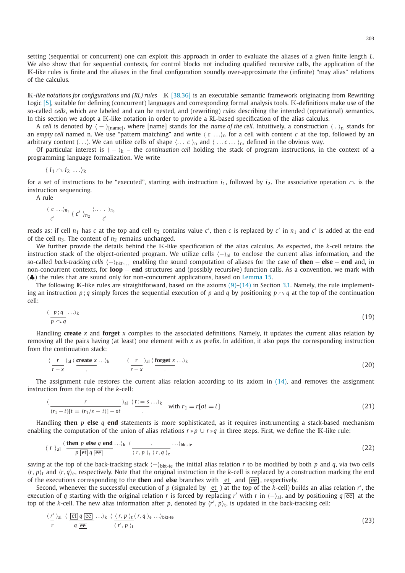setting (sequential or concurrent) one can exploit this approach in order to evaluate the aliases of a given finite length *L*. We also show that for sequential contexts, for control blocks not including qualified recursive calls, the application of the K-like rules is finite and the aliases in the final configuration soundly over-approximate the (infinite) "may alias" relations of the calculus.

K*-like notations for configurations and (RL) rules* K [38,36] is an executable semantic framework originating from Rewriting Logic [5], suitable for defining (concurrent) languages and corresponding formal analysis tools. K-definitions make use of the so-called *cells*, which are labeled and can be nested, and (rewriting) *rules* describing the intended (operational) semantics. In this section we adopt a K-like notation in order to provide a RL-based specification of the alias calculus.

A *cell* is denoted by  $\langle -\rangle_{\text{[name]}}$ , where [name] stands for the *name of the cell*. Intuitively, a construction  $\langle \cdot \rangle_n$  stands for an *empty cell* named n. We use "pattern matching" and write  $\langle c \dots \rangle_n$  for a cell with content *c* at the top, followed by an arbitrary content (...). We can utilize cells of shape  $\langle \ldots c \rangle_n$  and  $\langle \ldots c \ldots \rangle_n$ , defined in the obvious way.

Of particular interest is  $\langle - \rangle_k$  – the *continuation cell* holding the stack of program instructions, in the context of a programming language formalization. We write

$$
\langle i_1 \cap i_2 \dots \rangle_k
$$

for a set of instructions to be "executed", starting with instruction  $i_1$ , followed by  $i_2$ . The associative operation  $\curvearrowright$  is the instruction sequencing.

A rule

$$
\frac{\langle c \cdots \rangle_{n_1}}{c'} \langle c' \rangle_{n_2} \langle \cdots \cdots \rangle_{n_3}
$$

reads as: if cell  $n_1$  has  $c$  at the top and cell  $n_2$  contains value  $c'$ , then  $c$  is replaced by  $c'$  in  $n_1$  and  $c'$  is added at the end of the cell  $n_3$ . The content of  $n_2$  remains unchanged.

We further provide the details behind the K-like specification of the alias calculus. As expected, the *k*-cell retains the instruction stack of the object-oriented program. We utilize cells  $\langle -\rangle$ <sub>al</sub> to enclose the current alias information, and the so-called *back-tracking cells*  $\langle -\rangle_{\text{bkt-}}$  enabling the sound computation of aliases for the case of **then** − **else** − **end** and, in non-concurrent contexts, for **loop** − **end** structures and (possibly recursive) function calls. As a convention, we mark with (♣) the rules that are sound only for non-concurrent applications, based on Lemma 15.

The following  $K$ -like rules are straightforward, based on the axioms  $(9)-(14)$  in Section 3.1. Namely, the rule implementing an instruction  $p$  ;  $q$  simply forces the sequential execution of  $p$  and  $q$  by positioning  $p\curvearrowright q$  at the top of the continuation cell:

$$
\langle \frac{p;q}{p\sim q} \cdots \rangle_k \tag{19}
$$

Handling **create** *x* and **forget** *x* complies to the associated definitions. Namely, it updates the current alias relation by removing all the pairs having (at least) one element with *x* as prefix. In addition, it also pops the corresponding instruction from the continuation stack:

$$
\langle \frac{r}{r-x} \rangle_{\text{al}} \langle \frac{\text{create } x \dots \rangle_k}{r-x} \rangle_{\text{al}} \langle \frac{f \text{orget } x \dots \rangle_k}{r} \tag{20}
$$

The assignment rule restores the current alias relation according to its axiom in (14), and removes the assignment instruction from the top of the *k*-cell:

$$
\langle \frac{r}{(r_1-t)[t=(r_1/s-t)]-ot} \rangle_{\text{al}} \langle \frac{t:=s}{t} \dots \rangle_k \quad \text{with } r_1=r[ot=t] \tag{21}
$$

Handling **then** *p* **else** *q* **end** statements is more sophisticated, as it requires instrumenting a stack-based mechanism enabling the computation of the union of alias relations  $r \times p \cup r \times q$  in three steps. First, we define the K-like rule:

$$
\langle r \rangle_{\text{al}} \frac{\langle \text{then } p \text{ else } q \text{ end } \ldots \rangle_k}{p \text{ [et]} q \text{ [ee]}} \cdots \rangle_k \langle \frac{\langle r, p \rangle_t \langle r, q \rangle_e}{\langle r, p \rangle_t \langle r, q \rangle_e} \cdots \rangle_{\text{bkt-te}} \tag{22}
$$

saving at the top of the back-tracking stack  $\langle -\rangle_{\text{bkt-te}}$  the initial alias relation *r* to be modified by both *p* and *q*, via two cells  $\langle r, p \rangle_t$  and  $\langle r, q \rangle_e$ , respectively. Note that the original instruction in the *k*-cell is replaced by a construction marking the end of the executions corresponding to the **then** and **else** branches with  $\boxed{et}$  and  $\boxed{ee}$ , respectively.

Second, whenever the successful execution of  $p$  (signaled by  $|et|$ ) at the top of the *k*-cell) builds an alias relation  $r'$ , the execution of *q* starting with the original relation *r* is forced by replacing *r'* with *r* in  $\langle -\rangle$ <sub>al</sub>, and by positioning *q* ee at the top of the *k*-cell. The new alias information after  $p$ , denoted by  $\langle r', p \rangle_t$ , is updated in the back-tracking cell:

$$
\frac{\langle r' \rangle_{\text{al}} \langle \text{[et]} q \text{[ee]} \dots \rangle_k \langle \langle r, p \rangle_t \langle r, q \rangle_e \dots \rangle_{\text{bkt-te}}}{\langle r', p \rangle_t} \tag{23}
$$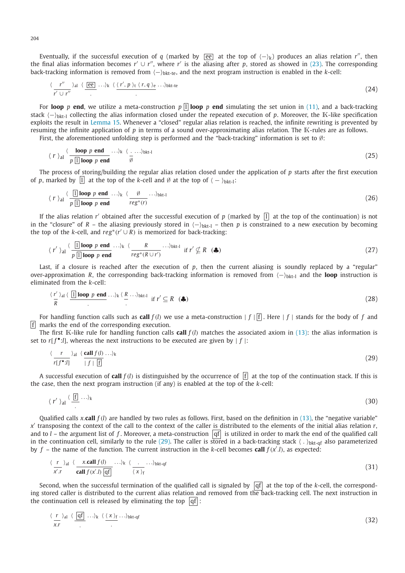Eventually, if the successful execution of *q* (marked by  $\boxed{ee}$  at the top of  $\langle -\rangle_k$ ) produces an alias relation *r''*, then the final alias information becomes  $r' \cup r''$ , where  $r'$  is the aliasing after p, stored as showed in (23). The corresponding back-tracking information is removed from  $\langle -\rangle_{\text{bkt-te}}$ , and the next program instruction is enabled in the *k*-cell:

$$
\frac{\langle r'' \rangle}{r' \cup r''} \lambda a l \left( \frac{\text{[ee]}}{\text{!}} \cdots \lambda k \left( \frac{\langle r', p \rangle_t \langle r, q \rangle_e}{\text{!}} \cdots \right) b k t - t e^{ \text{!} \cdot \text{!}} \right)
$$

For **loop** *p* **end**, we utilize a meta-construction *p* |1| **loop** *p* **end** simulating the set union in (11), and a back-tracking stack  $\langle -\rangle_{\text{hkt-1}}$  collecting the alias information closed under the repeated execution of *p*. Moreover, the K-like specification exploits the result in Lemma 15. Whenever a "closed" regular alias relation is reached, the infinite rewriting is prevented by resuming the infinite application of *p* in terms of a sound over-approximating alias relation. The K-rules are as follows. First, the aforementioned unfolding step is performed and the "back-tracking" information is set to ∅:

$$
\langle r \rangle_{\text{al}} \frac{\langle \text{loop } p \text{ end}}{p \prod \text{loop } p \text{ end}} \cdots \rangle_k \langle \ldots \rangle_{\text{bkt-l}}
$$
(25)

The process of storing/building the regular alias relation closed under the application of *p* starts after the first execution of *p*, marked by |l| at the top of the *k*-cell and Ø at the top of  $\langle - \rangle_{\text{bkt-1}}$ :

$$
\langle r \rangle_{\text{al}} \frac{\langle \mathbf{1} | \text{loop } p \text{ end } \dots \rangle_{\text{k}}}{p \mathbf{0} \mathbf{loop } p \text{ end}} \cdots \rangle_{\text{bk-1}}
$$
(26)

If the alias relation r' obtained after the successful execution of p (marked by  $\overline{1}$ ) at the top of the continuation) is not in the "closure" of *R* – the aliasing previously stored in  $\langle - \rangle_{\text{bkt-1}}$  – then *p* is constrained to a new execution by becoming the top of the *k*-cell, and  $reg^*(r' \cup R)$  is memorized for back-tracking:

$$
\langle r' \rangle_{\text{al}} \frac{\langle \underline{\text{II loop } p \text{ end}} \rangle}{p \underline{\text{II loop } p \text{ end}}} \dots \rangle_{k} \langle \frac{R}{reg^{*}(R \cup r')} \dots \rangle_{\text{bkt-1}} \text{ if } r' \nsubseteq R \quad (*)
$$

Last, if a closure is reached after the execution of p, then the current aliasing is soundly replaced by a "regular" over-approximation *R*, the corresponding back-tracking information is removed from  $\langle -\rangle_{\text{bkt-1}}$  and the **loop** instruction is eliminated from the *k*-cell:

$$
\frac{\langle r' \rangle_{\text{al}} \langle \underline{\Pi} \text{ loop } p \text{ end } \ldots \rangle_{\text{k}} \langle \underline{R} \ldots \rangle_{\text{bkt-l}}}{\langle r \rangle_{\text{bl}} \text{ if } r' \subseteq R \quad \text{(*)}
$$
\n(28)

For handling function calls such as **call**  $f(l)$  we use a meta-construction  $|f|$   $|f|$ . Here  $|f|$  stands for the body of  $f$  and  $\vert$  marks the end of the corresponding execution.

The first K-like rule for handling function calls **call**  $f(l)$  matches the associated axiom in (13): the alias information is set to  $r[f^{\bullet}:l]$ , whereas the next instructions to be executed are given by  $|f|$ :

$$
\langle \frac{r}{r[f^{\bullet}:l]} \rangle_{\text{al}} \langle \frac{\text{call } f(l)}{|f| \overline{f}} \rangle \dots \rangle_{k}
$$
 (29)

A successful execution of **call**  $f(l)$  is distinguished by the occurrence of  $\overline{f}$  at the top of the continuation stack. If this is the case, then the next program instruction (if any) is enabled at the top of the *k*-cell:

$$
\langle r' \rangle_{\text{al}} \langle \frac{\boxed{f}}{\boxed{\cdot}} \cdots \rangle_k \tag{30}
$$

Qualified calls *x*.**call** *f* (*l*) are handled by two rules as follows. First, based on the definition in (13), the "negative variable" *x* transposing the context of the call to the context of the caller is distributed to the elements of the initial alias relation *r*, and to  $l$  – the argument list of f. Moreover, a meta-construction  $\frac{d}{dr}$  is utilized in order to mark the end of the qualified call in the continuation cell, similarly to the rule (29). The caller is stored in a back-tracking stack  $\langle \cdot \rangle_{\text{bkt-qf}}$  also parameterized by *f* – the name of the function. The current instruction in the *k*-cell becomes **call** *f* (*x* .*l*), as expected:

$$
\frac{\langle r \rangle}{x'.r} \lambda \frac{\lambda \mathbf{all} \ f(l)}{\mathbf{call} \ f(x'.l)} \frac{\lambda \mathbf{call} \ f(l)}{\mathbf{q} \ f(l)} \cdots \lambda \mathbf{k} \quad \frac{\langle r \rangle}{\langle x \rangle_{f}} \tag{31}
$$

Second, when the successful termination of the qualified call is signaled by  $|qf|$  at the top of the *k*-cell, the corresponding stored caller is distributed to the current alias relation and removed from the back-tracking cell. The next instruction in the continuation cell is released by eliminating the top  $\boxed{qf}$ :

$$
\frac{\langle r \rangle_{\text{al}}}{x.r} \frac{\langle \boxed{\text{qf}} \rangle}{\langle \boxed{\text{at}} \rangle} \cdots \rangle_{\text{k}} \langle \frac{\langle x \rangle_{\text{f}}}{\langle \boxed{\text{b}} \rangle} \cdots \rangle_{\text{bkt-qf}}
$$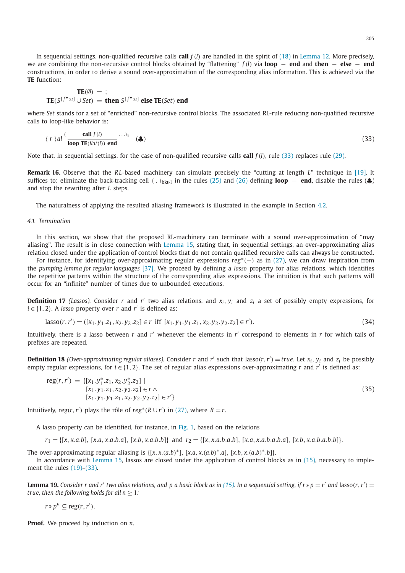$$
\mathbf{TE}(\emptyset) = ;
$$
  

$$
\mathbf{TE}(S^{[f^*:u]} \cup Set) = \textbf{then } S^{[f^*:u]} \textbf{ else } \mathbf{TE}(Set) \textbf{ end}
$$

where *Set* stands for a set of "enriched" non-recursive control blocks. The associated RL-rule reducing non-qualified recursive calls to loop-like behavior is:

$$
\langle r \rangle \, al \, \langle \frac{\text{call } f(l)}{\text{loop } \text{TE}(\text{flat}(l)) \text{ end}} \cdots \rangle_k \quad \text{(*)}
$$

Note that, in sequential settings, for the case of non-qualified recursive calls **call**  $f(l)$ , rule (33) replaces rule (29).

**Remark 16.** Observe that the *R L*-based machinery can simulate precisely the "cutting at length *L*" technique in [19]. It suffices to: eliminate the back-tracking cell  $\langle . \rangle_{bkt-1}$  in the rules (25) and (26) defining **loop** – **end**, disable the rules (♦) and stop the rewriting after *L* steps.

The naturalness of applying the resulted aliasing framework is illustrated in the example in Section 4.2.

#### *4.1. Termination*

In this section, we show that the proposed RL-machinery can terminate with a sound over-approximation of "may aliasing". The result is in close connection with Lemma 15, stating that, in sequential settings, an over-approximating alias relation closed under the application of control blocks that do not contain qualified recursive calls can always be constructed.

For instance, for identifying over-approximating regular expressions *reg*∗(−) as in (27), we can draw inspiration from the *pumping lemma for regular languages* [37]. We proceed by defining a *lasso* property for alias relations, which identifies the repetitive patterns within the structure of the corresponding alias expressions. The intuition is that such patterns will occur for an "infinite" number of times due to unbounded executions.

**Definition 17** (Lassos). Consider  $r$  and  $r'$  two alias relations, and  $x_i$ ,  $y_i$  and  $z_i$  a set of possibly empty expressions, for  $i \in \{1, 2\}$ . A *lasso* property over *r* and *r'* is defined as:

$$
lasso(r, r') = ([x_1.y_1.z_1, x_2.y_2.z_2] \in r \text{ iff } [x_1.y_1.y_1.z_1, x_2.y_2.y_2.z_2] \in r').
$$
\n(34)

Intuitively, there is a lasso between *r* and *r'* whenever the elements in *r'* correspond to elements in *r* for which tails of prefixes are repeated.

**Definition 18** *(Over-approximating regular aliases).* Consider *r* and *r'* such that lasso(*r*,*r'*) = *true*. Let *x<sub>i</sub>*, *y<sub>i</sub>* and *z<sub>i</sub>* be possibly empty regular expressions, for  $i \in \{1, 2\}$ . The set of regular alias expressions over-approximating *r* and *r'* is defined as:

reg
$$
(r, r') = \{ [x_1 \cdot y_1^* \cdot z_1, x_2 \cdot y_2^* \cdot z_2] |
$$
  
\n $[x_1 \cdot y_1 \cdot z_1, x_2 \cdot y_2 \cdot z_2] \in r \land$   
\n $[x_1 \cdot y_1 \cdot y_1 \cdot z_1, x_2 \cdot y_2 \cdot y_2 \cdot z_2] \in r' \}$  (35)

Intuitively, reg(*r*,*r'*) plays the rôle of  $reg^*(R \cup r')$  in (27), where  $R = r$ .

A lasso property can be identified, for instance, in Fig. 1, based on the relations

 $r_1 = \{ [x, x.a.b], [x.a, x.a.b.a], [x.b, x.a.b.b] \}$  and  $r_2 = \{ [x, x.a.b.a.b], [x.a, x.a.b.a.b.a], [x.b, x.a.b.a.b.b] \}.$ 

The over-approximating regular aliasing is  $\{[x, x, (a.b)^*], [x.a, x. (a.b)^* \cdot a], [x.b, x. (a.b)^* \cdot b]\}.$ 

In accordance with Lemma 15, lassos are closed under the application of control blocks as in (15), necessary to implement the rules (19)–(33).

**Lemma 19.** Consider r and r' two alias relations, and p a basic block as in (15). In a sequential setting, if  $r * p = r'$  and lasso $(r, r') =$ *true, then the following holds for all n* ≥ 1*:*

 $r \times p^n \subseteq \text{reg}(r, r').$ 

**Proof.** We proceed by induction on *n*.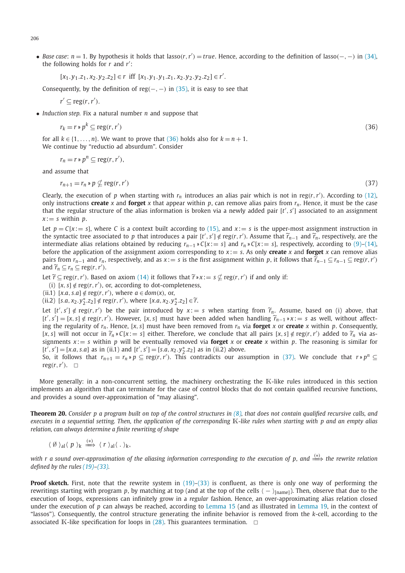• *Base case*: *n* = 1. By hypothesis it holds that lasso(*r*,*r* ) = *true*. Hence, according to the definition of lasso(−,−) in (34), the following holds for *r* and *r* :

$$
[x_1.y_1.z_1, x_2.y_2.z_2] \in r \text{ iff } [x_1.y_1.y_1.z_1, x_2.y_2.y_2.z_2] \in r'.
$$

Consequently, by the definition of reg( $-$ ,  $-$ ) in (35), it is easy to see that

$$
r' \subseteq \text{reg}(r,r').
$$

• *Induction step.* Fix a natural number *n* and suppose that

$$
r_k = r \cdot p^k \subseteq \text{reg}(r, r')
$$
\n<sup>(36)</sup>

for all  $k \in \{1, \ldots, n\}$ . We want to prove that (36) holds also for  $k = n + 1$ . We continue by "reductio ad absurdum". Consider

$$
r_n = r * p^n \subseteq \text{reg}(r, r'),
$$

and assume that

$$
r_{n+1} = r_n \cdot p \nsubseteq \text{reg}(r, r') \tag{37}
$$

Clearly, the execution of *p* when starting with  $r_n$  introduces an alias pair which is not in reg(*r*,*r'*). According to (12), only instructions **create** *x* and **forget** *x* that appear within *p*, can remove alias pairs from  $r_n$ . Hence, it must be the case that the regular structure of the alias information is broken via a newly added pair [*t* , *s* ] associated to an assignment  $x := s$  within *p*.

Let  $p = C[x := s]$ , where C is a context built according to (15), and  $x := s$  is the upper-most assignment instruction in the syntactic tree associated to *p* that introduces a pair  $[t', s']$  ∉ reg(*r*,*r'*). Assume that  $\widetilde{r}_{n-1}$  and  $\widetilde{r}_n$ , respectively, are the intermediate alias relations obtained by reducing  $r_{n-1}$  » *C*[*x* := *s*] and  $r_n$  » *C*[*x* := *s*], respectively, according to (9)–(14), before the application of the assignment axiom corresponding to  $x := s$ . As only **create**  $x$  and **forget**  $x$  can remove alias pairs from  $r_{n-1}$  and  $r_n$ , respectively, and as  $x := s$  is the first assignment within p, it follows that  $\widetilde{r}_{n-1} \subseteq r_{n-1} \subseteq \text{reg}(r, r')$ and  $\widetilde{r}_n \subseteq r_n \subseteq \text{reg}(r, r').$ 

Let  $\widetilde{r}$  ⊆ reg(*r*,*r'*). Based on axiom (14) it follows that  $\widetilde{r}$  » *x* : = *s* ⊈ reg(*r*,*r'*) if and only if:

(i)  $[x, s] \notin \text{reg}(r, r')$ , or, according to dot-completeness,

(ii.1)  $[x.a, s.a] \notin \text{reg}(r, r')$ , where  $a \in \text{dom}(x)$ , or,

(ii.2) [*s.a*, *x*<sub>2</sub>.*y*<sup>∗</sup><sub>2</sub>.*z*<sub>2</sub>] ∉ reg(*r*, *r*<sup>'</sup>), where [*x.a*, *x*<sub>2</sub>.*y*<sup>∗</sup><sub>2</sub>.*z*<sub>2</sub>] ∈  $\widetilde{r}$ .

Let  $[t', s'] \notin \text{reg}(r, r')$  be the pair introduced by  $x := s$  when starting from  $\widetilde{r}_n$ . Assume, based on (i) above, that [*t'*, *s'*] = [*x*, *s*] ∉ reg(*r*, *r'*). However, [*x*, *s*] must have been added when handling  $\widetilde{r}_{n-1} \times x := s$  as well, without affecting the regularity of  $r_n$ . Hence,  $[x, s]$  must have been removed from  $r_n$  via **forget** *x* or **create** *x* within *p*. Consequently, [*x*, *s*] will not occur in  $\widetilde{r}_n \times C[x := s]$  either. Therefore, we conclude that all pairs  $[x, s] \notin \text{reg}(r, r')$  added to  $\widetilde{r}_n$  via assignments  $x := s$  within *p* will be eventually removed via **forget** *x* or **create** *x* within *p*. The reasoning is similar for  $[t', s'] = [x.a, s.a]$  as in (ii.1) and  $[t', s'] = [s.a, x_2 \tcdot y_2^* \tcdot z_2]$  as in (ii.2) above.

So, it follows that  $r_{n+1} = r_n * p \subseteq \text{reg}(r, r')$ . This contradicts our assumption in (37). We conclude that  $r * p^n \subseteq$  $reg(r, r')$ .  $\Box$ 

More generally: in a non-concurrent setting, the machinery orchestrating the K-like rules introduced in this section implements an algorithm that can terminate for the case of control blocks that do not contain qualified recursive functions, and provides a sound over-approximation of "may aliasing".

**Theorem 20.** Consider p a program built on top of the control structures in  $(8)$ , that does not contain qualified recursive calls, and executes in a sequential setting. Then, the application of the corresponding K-like rules when starting with p and an empty alias *relation, can always determine a finite rewriting of shape*

$$
\langle \emptyset \rangle_{\text{al}} \langle p \rangle_{\text{k}} \stackrel{(*)}{\implies} \langle r \rangle_{\text{al}} \langle . \rangle_{\text{k}},
$$

with r a sound over-approximation of the aliasing information corresponding to the execution of p, and  $\xrightarrow{(*)}$  the rewrite relation *defined by the rules (19)–(33).*

**Proof sketch.** First, note that the rewrite system in  $(19)-(33)$  is confluent, as there is only one way of performing the rewritings starting with program p, by matching at top (and at the top of the cells  $\langle - \rangle_{\text{[name]}}$ ). Then, observe that due to the execution of loops, expressions can infinitely grow in a *regular* fashion. Hence, an over-approximating alias relation closed under the execution of *p* can always be reached, according to Lemma 15 (and as illustrated in Lemma 19, in the context of "lassos"). Consequently, the control structure generating the infinite behavior is removed from the *k*-cell, according to the associated K-like specification for loops in  $(28)$ . This guarantees termination.  $\Box$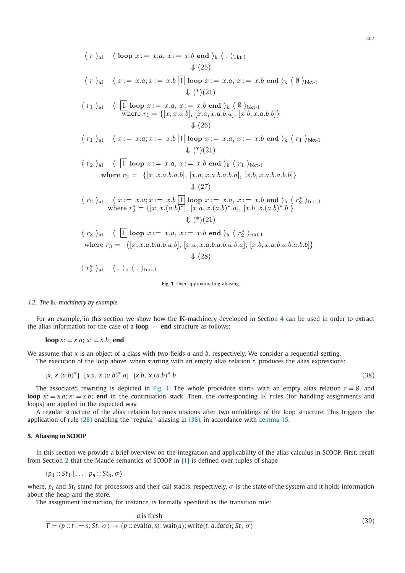| $\langle \begin{array}{c} \text{loop } x := x.a, x := x.b \text{ end } \rangle_{k} \langle . \rangle_{k} \end{array}$<br>$\langle r \rangle_{\rm al}$                                                                                                                  |
|------------------------------------------------------------------------------------------------------------------------------------------------------------------------------------------------------------------------------------------------------------------------|
| $\downarrow$ (25)                                                                                                                                                                                                                                                      |
| $\langle r \rangle_{\text{al}}$ $\langle x := x.a; x := x.b \mid 1 \mid \text{loop } x := x.a, x := x.b \text{ end } \rangle_{\text{k}} \langle \emptyset \rangle_{\text{bkt-1}}$                                                                                      |
| $\downarrow$ (*)(21)                                                                                                                                                                                                                                                   |
| $\langle  1  \text{loop } x := x.a, x := x.b \text{ end } \rangle_{k} \langle \emptyset \rangle_{k+1}$<br>$\langle r_1 \rangle_{\rm al}$<br>where $r_1 = \{ [x, x.a.b], [x.a, x.a.b.a], [x.b, x.a.b.b] \}$                                                             |
| $\downarrow$ (26)                                                                                                                                                                                                                                                      |
| $\langle r_1 \rangle_{\text{al}}$ $\langle x := x.a; x := x.b \mid 1 \mid \text{loop } x := x.a, x := x.b \text{ end } \rangle_{\text{k}} \langle r_1 \rangle_{\text{bkt-1}}$                                                                                          |
| $\downarrow$ (*)(21)                                                                                                                                                                                                                                                   |
| $\langle  1  \text{loop } x := x.a, x := x.b \text{ end } \rangle_{k} \langle r_1 \rangle_{k+1}$<br>$\langle r_2 \rangle_{\rm al}$                                                                                                                                     |
| where $r_2 = \{ [x, x.a.b.a.b], [x.a, x.a.b.a.b.a], [x.b, x.a.b.a.b.b]\}$                                                                                                                                                                                              |
| $\downarrow$ (27)                                                                                                                                                                                                                                                      |
| $\langle r_2 \rangle_{\text{al}}$ $\langle x := x.a; x := x.b \mid 1 \mid \text{loop } x := x.a, x := x.b \text{ end } \rangle_{\text{k}} \langle r_2^* \rangle_{\text{bkt-l}}$<br>where $r_2^* = \{ [x, x. (a.b)^*], [x.a, x. (a.b)^* . a], [x.b, x. (a.b)^* . b] \}$ |
| $\downarrow$ (*)(21)                                                                                                                                                                                                                                                   |
| $\langle  1  \text{loop } x := x.a, x := x.b \text{ end } \rangle_{k} \langle r_{2}^{*} \rangle_{k}$<br>$\langle r_3 \rangle_{\rm al}$                                                                                                                                 |
| where $r_3 = \{ [x, x.a.b.a.b.a.b], [x.a, x.a.b.a.b.a], [x.b, x.a.b.a.b.a.b.b] \}$                                                                                                                                                                                     |
| $\downarrow$ (28)                                                                                                                                                                                                                                                      |
| $\langle r_2^* \rangle_{\text{al}} \langle . \rangle_{\text{k}} \langle . \rangle_{\text{bkt-l}}$                                                                                                                                                                      |

**Fig. 1.** Over-approximating aliasing.

## *4.2. The* K*-machinery by example*

For an example, in this section we show how the K-machinery developed in Section 4 can be used in order to extract the alias information for the case of a **loop** − **end** structure as follows:

**loop** 
$$
x
$$
: =  $x.a$ ;  $x$ : =  $x.b$ ; **end**

We assume that *x* is an object of a class with two fields *a* and *b*, respectively. We consider a sequential setting. The execution of the loop above, when starting with an empty alias relation *r*, produces the alias expressions:

$$
[x, x.(a.b)^*] [x.a, x.(a.b)^*.a] [x.b, x.(a.b)^*.b]
$$

The associated rewriting is depicted in Fig. 1. The whole procedure starts with an empty alias relation  $r = \emptyset$ , and **loop**  $x$ : = *x*.*a*;  $x$ : = *x*.*b*; end in the continuation stack. Then, the corresponding K rules (for handling assignments and loops) are applied in the expected way.

A regular structure of the alias relation becomes obvious after two unfoldings of the loop structure. This triggers the application of rule (28) enabling the "regular" aliasing in (38), in accordance with Lemma 15.

## **5. Aliasing in SCOOP**

In this section we provide a brief overview on the integration and applicability of the alias calculus in SCOOP. First, recall from Section 2 that the Maude semantics of SCOOP in [1] is defined over tuples of shape

$$
\langle p_1::St_1|...|p_n::St_n,\sigma\rangle
$$

where,  $p_i$  and  $St_i$  stand for processors and their call stacks, respectively.  $\sigma$  is the state of the system and it holds information about the heap and the store.

The assignment instruction, for instance, is formally specified as the transition rule:

$$
a \text{ is fresh}
$$
  
\n
$$
\Gamma \vdash \langle p :: t : = s ; St, \sigma \rangle \rightarrow \langle p :: \text{eval}(a, s) ; \text{wait}(a) ; \text{write}(t, a.data) ; St, \sigma \rangle
$$
\n(39)

∗.*b* (38)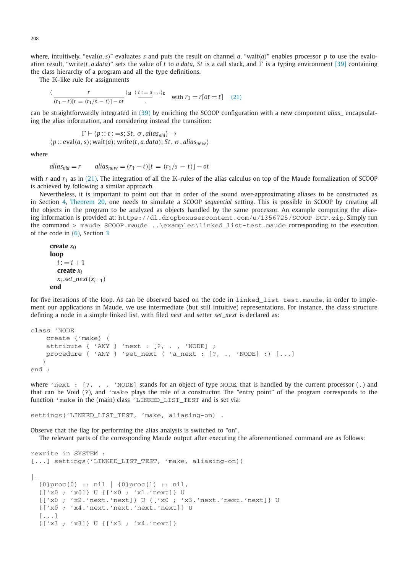where, intuitively, "eval(*a*, *s*)" evaluates *s* and puts the result on channel *a*, "wait(*a*)" enables processor *p* to use the evaluation result, "write(*t*, *a*.*data*)" sets the value of *t* to *a.data*, *St* is a call stack, and  $\Gamma$  is a typing environment [39] containing the class hierarchy of a program and all the type definitions.

The K-like rule for assignments

$$
\langle \frac{r}{(r_1-t)[t=(r_1/s-t)]-ot} \rangle_{\text{al}} \langle \frac{t:=s}{\cdot} \cdots \rangle_k \quad \text{with } r_1=r[ot=t] \quad (21)
$$

can be straightforwardly integrated in (39) by enriching the SCOOP configuration with a new component *alias*\_ encapsulating the alias information, and considering instead the transition:

$$
\Gamma \vdash \langle p::t:=s; St, \sigma, alias_{old} \rangle \rightarrow
$$
  

$$
\langle p::eval(a, s); wait(a); write(t, a.data); St, \sigma, alias_{new} \rangle
$$

where

 $alias_{old} = r$  *alias<sub>new</sub>* =  $(r_1 - t)[t = (r_1/s - t)] - ot$ 

with  $r$  and  $r_1$  as in (21). The integration of all the  $K$ -rules of the alias calculus on top of the Maude formalization of SCOOP is achieved by following a similar approach.

Nevertheless, it is important to point out that in order of the sound over-approximating aliases to be constructed as in Section 4, Theorem 20, one needs to simulate a SCOOP *sequential* setting. This is possible in SCOOP by creating all the objects in the program to be analyzed as objects handled by the same processor. An example computing the aliasing information is provided at: https://dl.dropboxusercontent.com/u/1356725/SCOOP-SCP.zip.Simply run the command > maude SCOOP.maude ..\examples\linked\_list-test.maude corresponding to the execution of the code in (6), Section 3

```
create x_0loop
  i := i + 1create xi
  xi.set_next(xi−1)
end
```
for five iterations of the loop. As can be observed based on the code in linked\_list-test.maude, in order to implement our applications in Maude, we use intermediate (but still intuitive) representations. For instance, the class structure defining a node in a simple linked list, with filed *next* and setter *set*\_*next* is declared as:

```
class 'NODE
   create {'make} (
   attribute { 'ANY } 'next : [?, . , 'NODE] ;
   procedure { 'ANY } 'set_next ( 'a_next : [?, ., 'NODE] ;) [...]
  )
end ;
```
where 'next : [?, ., 'NODE] stands for an object of type NODE, that is handled by the current processor (.) and that can be Void (?), and 'make plays the role of a constructor. The "entry point" of the program corresponds to the function 'make in the (main) class 'LINKED\_LIST\_TEST and is set via:

settings('LINKED\_LIST\_TEST, 'make, aliasing-on) .

Observe that the flag for performing the alias analysis is switched to "on". The relevant parts of the corresponding Maude output after executing the aforementioned command are as follows:

```
rewrite in SYSTEM :
[...] settings('LINKED_LIST_TEST, 'make, aliasing-on))
\perp{0}proc(0) :: nil | {0}proc(1) :: nil,
  {['x0 ; 'x0]} U {['x0 ; 'x1.'next]} U
  {['x0 ; 'x2.'next.'next]} U {['x0 ; 'x3.'next.'next.'next]} U
  {['x0 ; 'x4.'next.'next.'next.'next]} U
  [...]
  {['x3 ; 'x3]} U {['x3 ; 'x4.'next]}
```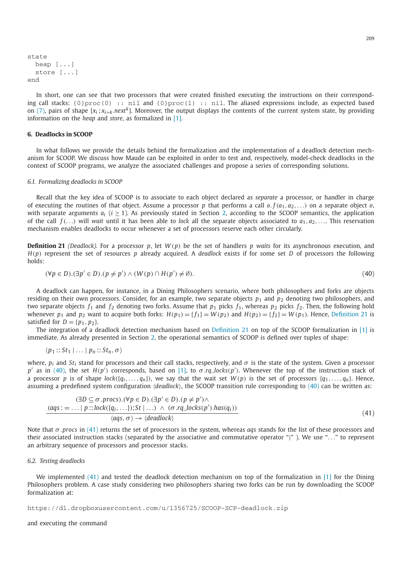```
state
 heap [...]
  store [...]
end
```
In short, one can see that two processors that were created finished executing the instructions on their corresponding call stacks:  ${0}$ proc $(0)$ : nil and  ${0}$ proc $(1)$ : nil. The aliased expressions include, as expected based on (7), pairs of shape  $[x_i; x_{i+k}$ .*next*<sup>k</sup>]. Moreover, the output displays the contents of the current system state, by providing information on the *heap* and *store*, as formalized in [1].

#### **6. Deadlocks in SCOOP**

In what follows we provide the details behind the formalization and the implementation of a deadlock detection mechanism for SCOOP. We discuss how Maude can be exploited in order to test and, respectively, model-check deadlocks in the context of SCOOP programs, we analyze the associated challenges and propose a series of corresponding solutions.

#### *6.1. Formalizing deadlocks in SCOOP*

Recall that the key idea of SCOOP is to associate to each object declared as *separate* a processor, or handler in charge of executing the routines of that object. Assume a processor  $p$  that performs a call  $o.f(a_1, a_2,...)$  on a separate object  $o$ , with separate arguments  $a_i$  ( $i \ge 1$ ). As previously stated in Section 2, according to the SCOOP semantics, the application of the call  $f$ (...) will *wait* until it has been able to *lock* all the separate objects associated to  $a_1, a_2, \ldots$  This reservation mechanism enables deadlocks to occur whenever a set of processors reserve each other circularly.

**Definition 21** *(Deadlock).* For a processor *p*, let *W* (*p*) be the set of handlers *p waits* for its asynchronous execution, and *H*(*p*) represent the set of resources *p* already acquired. A *deadlock* exists if for some set *D* of processors the following holds:

$$
(\forall p \in D).(\exists p' \in D).(p \neq p') \land (W(p) \cap H(p') \neq \emptyset). \tag{40}
$$

A deadlock can happen, for instance, in a Dining Philosophers scenario, where both philosophers and forks are objects residing on their own processors. Consider, for an example, two separate objects  $p_1$  and  $p_2$  denoting two philosophers, and two separate objects  $f_1$  and  $f_2$  denoting two forks. Assume that  $p_1$  picks  $f_1$ , whereas  $p_2$  picks  $f_2$ . Then, the following hold whenever  $p_1$  and  $p_2$  want to acquire both forks:  $H(p_1) = {f_1} = W(p_2)$  and  $H(p_2) = {f_2} = W(p_1)$ . Hence, Definition 21 is satisfied for  $D = \{p_1, p_2\}.$ 

The integration of a deadlock detection mechanism based on Definition 21 on top of the SCOOP formalization in [1] is immediate. As already presented in Section 2, the operational semantics of SCOOP is defined over tuples of shape:

$$
\langle p_1::St_1 \mid \ldots \mid p_n::St_n,\sigma\rangle
$$

where, *pi* and *Sti* stand for processors and their call stacks, respectively, and σ is the state of the system. Given a processor *p*<sup>'</sup> as in (40), the set  $H(p')$  corresponds, based on [1], to  $\sigma$ .*rq*\_*locks*(*p'*). Whenever the top of the instruction stack of a processor *p* is of shape  $lock({q_i},...,q_n)$ , we say that the wait set  $W(p)$  is the set of processors  ${q_1},...,q_n$ . Hence, assuming a predefined system configuration *(deadlock)*, the SCOOP transition rule corresponding to (40) can be written as:

$$
(aqs := ... | p::lock({q_i, ...});St | ...) \land (σ.rq\_locks(p').has(q_i))
$$
  
\n
$$
(aqs := ... | p::lock({q_i, ...});St | ...) \land (\sigma.rq\_locks(p').has(q_i))
$$
  
\n
$$
\langle (aqs, \sigma) \rightarrow \langle deadlock \rangle
$$
\n(41)

Note that σ.*procs* in (41) returns the set of processors in the system, whereas *aqs* stands for the list of these processors and their associated instruction stacks (separated by the associative and commutative operator "|" ). We use "..." to represent an arbitrary sequence of processors and processor stacks.

# *6.2. Testing deadlocks*

We implemented  $(41)$  and tested the deadlock detection mechanism on top of the formalization in [1] for the Dining Philosophers problem. A case study considering two philosophers sharing two forks can be run by downloading the SCOOP formalization at:

https://dl.dropboxusercontent.com/u/1356725/SCOOP-SCP-deadlock.zip

and executing the command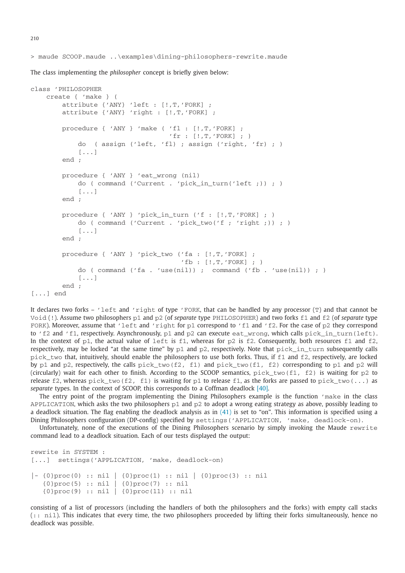> maude SCOOP.maude ..\examples\dining-philosophers-rewrite.maude

The class implementing the *philosopher* concept is briefly given below:

```
class 'PHILOSOPHER
   create { 'make } (
        attribute {'ANY} 'left : [!,T,'FORK] ;
        attribute {'ANY} 'right : [!,T,'FORK] ;
        procedure { 'ANY } 'make ( 'fl : [!,T,'FORK] ;
                                   'fr : [!,T,'FORK] ; )
            do ( assign ('left, 'fl) ; assign ('right, 'fr) ; )
            [...]
        end ;
        procedure { 'ANY } 'eat_wrong (nil)
            do ( command ('Current . 'pick_in_turn('left ;)) ; )
            [...]
        end ;
        procedure { 'ANY } 'pick_in_turn ('f : [!,T,'FORK] ; )
            do ( command ('Current . 'pick_two('f ; 'right ;)) ; )
            [...]
        end ;
        procedure { 'ANY } 'pick_two ('fa : [!,T,'FORK] ;
                                       'fb : [!,T,'FORK] ; )
            do ( command ('fa . 'use(nil)) ; command ('fb . 'use(nil)) ; )
            [...]
        end ;
[...] end
```
It declares two forks – 'left and 'right of type 'FORK, that can be handled by any processor  $(T)$  and that cannot be Void (!). Assume two philosophers p1 and p2 (of *separate* type PHILOSOPHER) and two forks f1 and f2 (of *separate* type FORK). Moreover, assume that 'left and 'right for p1 correspond to 'f1 and 'f2. For the case of p2 they correspond to 'f2 and 'f1, respectively. Asynchronously, p1 and p2 can execute eat\_wrong, which calls pick\_in\_turn(left). In the context of p1, the actual value of left is f1, whereas for p2 is f2. Consequently, both resources f1 and f2, respectively, may be locked "at the same time" by  $p1$  and  $p2$ , respectively. Note that  $pick$  in turn subsequently calls pick two that, intuitively, should enable the philosophers to use both forks. Thus, if  $f1$  and  $f2$ , respectively, are locked by p1 and p2, respectively, the calls pick\_two(f2, f1) and pick\_two(f1, f2) corresponding to p1 and p2 will (circularly) wait for each other to finish. According to the SCOOP semantics,  $pick\_two(fl, fl2)$  is waiting for p2 to release f2, whereas pick\_two(f2, f1) is waiting for p1 to release f1, as the forks are passed to pick\_two(...) as *separate* types. In the context of SCOOP, this corresponds to a Coffman deadlock [40].

The entry point of the program implementing the Dining Philosophers example is the function 'make in the class APPLICATION, which asks the two philosophers  $p1$  and  $p2$  to adopt a wrong eating strategy as above, possibly leading to a deadlock situation. The flag enabling the deadlock analysis as in (41) is set to "on". This information is specified using a Dining Philosophers configuration (DP-config) specified by settings('APPLICATION, 'make, deadlock-on).

Unfortunately, none of the executions of the Dining Philosophers scenario by simply invoking the Maude rewrite command lead to a deadlock situation. Each of our tests displayed the output:

```
rewrite in SYSTEM :
[...] settings('APPLICATION, 'make, deadlock-on)
|- {0}proc(0) :: nil | {0}proc(1) :: nil | {0}proc(3) :: nil
   {0}proc(5) :: nil | {0}proc(7) :: nil
   {0}proc(9) :: nil | {0}proc(11) :: nil
```
consisting of a list of processors (including the handlers of both the philosophers and the forks) with empty call stacks (:: nil). This indicates that every time, the two philosophers proceeded by lifting their forks simultaneously, hence no deadlock was possible.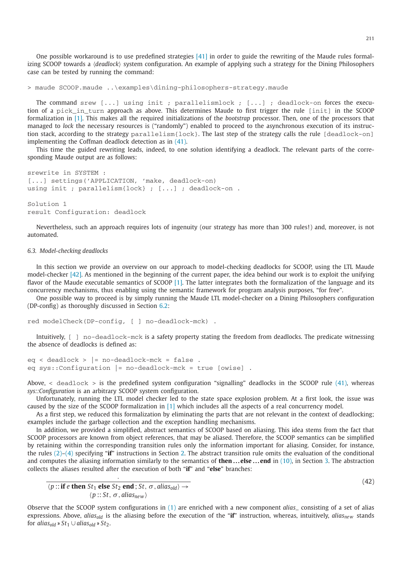One possible workaround is to use predefined strategies  $[41]$  in order to guide the rewriting of the Maude rules formalizing SCOOP towards a *{deadlock}* system configuration. An example of applying such a strategy for the Dining Philosophers case can be tested by running the command:

```
> maude SCOOP.maude ..\examples\dining-philosophers-strategy.maude
```
The command srew  $[\dots]$  using init; parallelismlock;  $[\dots]$ ; deadlock-on forces the execution of a pick in turn approach as above. This determines Maude to first trigger the rule [init] in the SCOOP formalization in [1]. This makes all the required initializations of the *bootstrap* processor. Then, one of the processors that managed to *lock* the necessary resources is ("randomly") enabled to proceed to the asynchronous execution of its instruction stack, according to the strategy parallelism{lock}. The last step of the strategy calls the rule [deadlock-on] implementing the Coffman deadlock detection as in (41).

This time the guided rewriting leads, indeed, to one solution identifying a deadlock. The relevant parts of the corresponding Maude output are as follows:

```
srewrite in SYSTEM :
[...] settings('APPLICATION, 'make, deadlock-on)
using init ; parallelism{lock} ; [...] ; deadlock-on .
Solution 1
```
result Configuration: deadlock

Nevertheless, such an approach requires lots of ingenuity (our strategy has more than 300 rules!) and, moreover, is not automated.

#### *6.3. Model-checking deadlocks*

In this section we provide an overview on our approach to model-checking deadlocks for SCOOP, using the LTL Maude model-checker [42]. As mentioned in the beginning of the current paper, the idea behind our work is to exploit the unifying flavor of the Maude executable semantics of SCOOP [1]. The latter integrates both the formalization of the language and its concurrency mechanisms, thus enabling using the semantic framework for program analysis purposes, "for free".

One possible way to proceed is by simply running the Maude LTL model-checker on a Dining Philosophers configuration (DP-config) as thoroughly discussed in Section 6.2:

red modelCheck(DP-config, [ ] no-deadlock-mck) .

.

Intuitively, [ ] no-deadlock-mck is a safety property stating the freedom from deadlocks. The predicate witnessing the absence of deadlocks is defined as:

```
eq < deadlock > | = no-deadlock-mck = false.
eq sys::Configuration |= no-deadlock-mck = true [owise] .
```
Above,  $\lt$  deadlock  $>$  is the predefined system configuration "signalling" deadlocks in the SCOOP rule (41), whereas *sys::Configuration* is an arbitrary SCOOP system configuration.

Unfortunately, running the LTL model checker led to the state space explosion problem. At a first look, the issue was caused by the size of the SCOOP formalization in [1] which includes all the aspects of a real concurrency model.

As a first step, we reduced this formalization by eliminating the parts that are not relevant in the context of deadlocking; examples include the garbage collection and the exception handling mechanisms.

In addition, we provided a simplified, abstract semantics of SCOOP based on aliasing. This idea stems from the fact that SCOOP processors are known from object references, that may be aliased. Therefore, the SCOOP semantics can be simplified by retaining within the corresponding transition rules only the information important for aliasing. Consider, for instance, the rules (2)–(4) specifying "**if**" instructions in Section 2. The abstract transition rule omits the evaluation of the conditional and computes the aliasing information similarly to the semantics of **then** ...**else** ...**end** in (10), in Section 3. The abstraction collects the aliases resulted after the execution of both "**if**" and "**else**" branches:

$$
\langle p::\textbf{if } e \textbf{ then } St_1 \textbf{ else } St_2 \textbf{ end}; St, \sigma, \text{alias}_{\text{old}} \rangle \rightarrow
$$
  

$$
\langle p::St, \sigma, \text{alias}_{\text{new}} \rangle
$$

Observe that the SCOOP system configurations in (1) are enriched with a new component *alias*\_ consisting of a set of alias expressions. Above, *alias<sub>old</sub>* is the aliasing before the execution of the "if" instruction, whereas, intuitively, *alias<sub>new</sub>* stands for  $alias_{old} \times St_1 \cup alias_{old} \times St_2$ .

 $(42)$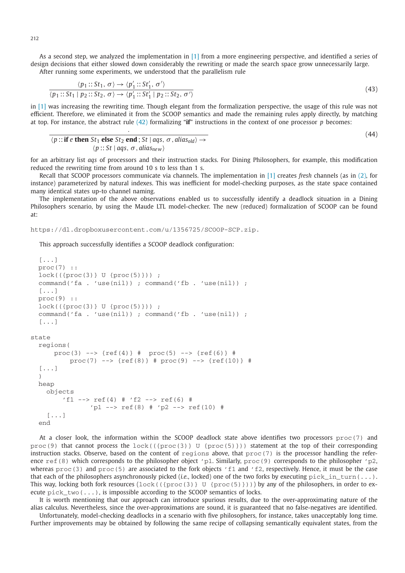As a second step, we analyzed the implementation in [1] from a more engineering perspective, and identified a series of design decisions that either slowed down considerably the rewriting or made the search space grow unnecessarily large. After running some experiments, we understood that the parallelism rule

$$
\frac{\langle p_1 :: St_1, \sigma \rangle \to \langle p'_1 :: St'_1, \sigma' \rangle}{\langle p_1 :: St_1 \mid p_2 :: St_2, \sigma \rangle \to \langle p'_1 :: St'_1 \mid p_2 :: St_2, \sigma' \rangle}
$$
\n(43)

in [1] was increasing the rewriting time. Though elegant from the formalization perspective, the usage of this rule was not efficient. Therefore, we eliminated it from the SCOOP semantics and made the remaining rules apply directly, by matching at top. For instance, the abstract rule (42) formalizing "**if**" instructions in the context of one processor *p* becomes:

$$
\langle p::\textbf{if } e \textbf{ then } St_1 \textbf{ else } St_2 \textbf{ end}; St \mid aqs, \sigma, alias_{old} \rangle \rightarrow
$$
  

$$
\langle p::St \mid aqs, \sigma, alias_{new} \rangle
$$

 $(44)$ 

for an arbitrary list *aqs* of processors and their instruction stacks. For Dining Philosophers, for example, this modification reduced the rewriting time from around 10 s to less than 1 s.

Recall that SCOOP processors communicate via channels. The implementation in [1] creates *fresh* channels (as in (2), for instance) parameterized by natural indexes. This was inefficient for model-checking purposes, as the state space contained many identical states up-to channel naming.

The implementation of the above observations enabled us to successfully identify a deadlock situation in a Dining Philosophers scenario, by using the Maude LTL model-checker. The new (reduced) formalization of SCOOP can be found at:

https://dl.dropboxusercontent.com/u/1356725/SCOOP-SCP.zip.

This approach successfully identifies a SCOOP deadlock configuration:

.

```
[...]
 proc(7) ::lock(({proc(3)} U {proc(5)})) ;
 command('fa . 'use(nil)) ; command('fb . 'use(nil)) ;
  [...]
 proc(9) ::
  lock(({proc(3)} U {proc(5)})) ;
  command('fa . 'use(nil)) ; command('fb . 'use(nil)) ;
  [...]
state
 regions(
     proc(3) --> {ref(4)} # proc(5) --> {ref(6)} #
          proc(7) --> {ref(8)} # proc(9) --> {ref(10)} #
  [...]
  \lambdaheap
    objects
        'f1 --> ref(4) # 'f2 --> ref(6) #
              'p1 --> ref(8) # 'p2 --> ref(10) #
    [...]
  end
```
At a closer look, the information within the SCOOP deadlock state above identifies two processors  $\text{proc}(7)$  and proc(9) that cannot process the lock(({proc(3)} U {proc(5)})) statement at the top of their corresponding instruction stacks. Observe, based on the content of regions above, that  $\text{proc}(7)$  is the processor handling the reference ref(8) which corresponds to the philosopher object 'p1. Similarly, proc(9) corresponds to the philosopher 'p2, whereas  $\text{proc}(3)$  and  $\text{proc}(5)$  are associated to the fork objects ' $f1$  and ' $f2$ , respectively. Hence, it must be the case that each of the philosophers asynchronously picked (*i.e.*, locked) one of the two forks by executing  $\text{pick_in-turn(...).}$ This way, locking both fork resources  $(\text{lock}((\text{proc}(3)) \cup \text{proc}(5))))$  by any of the philosophers, in order to execute  $\text{pick\_two}$  (...), is impossible according to the SCOOP semantics of locks.

It is worth mentioning that our approach can introduce spurious results, due to the over-approximating nature of the alias calculus. Nevertheless, since the over-approximations are sound, it is guaranteed that no false-negatives are identified.

Unfortunately, model-checking deadlocks in a scenario with five philosophers, for instance, takes unacceptably long time. Further improvements may be obtained by following the same recipe of collapsing semantically equivalent states, from the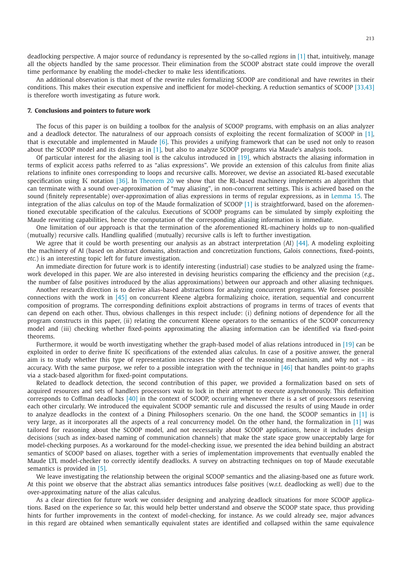deadlocking perspective. A major source of redundancy is represented by the so-called *regions* in [1] that, intuitively, manage all the objects handled by the same processor. Their elimination from the SCOOP abstract state could improve the overall time performance by enabling the model-checker to make less identifications.

An additional observation is that most of the rewrite rules formalizing SCOOP are conditional and have rewrites in their conditions. This makes their execution expensive and inefficient for model-checking. A reduction semantics of SCOOP [33,43] is therefore worth investigating as future work.

#### **7. Conclusions and pointers to future work**

The focus of this paper is on building a toolbox for the analysis of SCOOP programs, with emphasis on an alias analyzer and a deadlock detector. The naturalness of our approach consists of exploiting the recent formalization of SCOOP in [1], that is executable and implemented in Maude [6]. This provides a unifying framework that can be used not only to reason about the SCOOP model and its design as in [1], but also to analyze SCOOP programs via Maude's analysis tools.

Of particular interest for the aliasing tool is the calculus introduced in [19], which abstracts the aliasing information in terms of explicit access paths referred to as "alias expressions". We provide an extension of this calculus from finite alias relations to infinite ones corresponding to loops and recursive calls. Moreover, we devise an associated RL-based executable specification using K notation [36]. In Theorem 20 we show that the RL-based machinery implements an algorithm that can terminate with a sound over-approximation of "may aliasing", in non-concurrent settings. This is achieved based on the sound (finitely representable) over-approximation of alias expressions in terms of regular expressions, as in Lemma 15. The integration of the alias calculus on top of the Maude formalization of SCOOP [1] is straightforward, based on the aforementioned executable specification of the calculus. Executions of SCOOP programs can be simulated by simply exploiting the Maude rewriting capabilities, hence the computation of the corresponding aliasing information is immediate.

One limitation of our approach is that the termination of the aforementioned RL-machinery holds up to non-qualified (mutually) recursive calls. Handling qualified (mutually) recursive calls is left to further investigation.

We agree that it could be worth presenting our analysis as an abstract interpretation (AI)  $[44]$ . A modeling exploiting the machinery of AI (based on abstract domains, abstraction and concretization functions, Galois connections, fixed-points, *etc.*) is an interesting topic left for future investigation.

An immediate direction for future work is to identify interesting (industrial) case studies to be analyzed using the framework developed in this paper. We are also interested in devising heuristics comparing the efficiency and the precision (*e.g.*, the number of false positives introduced by the alias approximations) between our approach and other aliasing techniques.

Another research direction is to derive alias-based abstractions for analyzing concurrent programs. We foresee possible connections with the work in [45] on concurrent Kleene algebra formalizing choice, iteration, sequential and concurrent composition of programs. The corresponding definitions exploit abstractions of programs in terms of traces of events that can depend on each other. Thus, obvious challenges in this respect include: (i) defining notions of dependence for all the program constructs in this paper, (ii) relating the concurrent Kleene operators to the semantics of the SCOOP concurrency model and (iii) checking whether fixed-points approximating the aliasing information can be identified via fixed-point theorems.

Furthermore, it would be worth investigating whether the graph-based model of alias relations introduced in [19] can be exploited in order to derive finite K specifications of the extended alias calculus. In case of a positive answer, the general aim is to study whether this type of representation increases the speed of the reasoning mechanism, and why not – its accuracy. With the same purpose, we refer to a possible integration with the technique in  $[46]$  that handles point-to graphs via a stack-based algorithm for fixed-point computations.

Related to deadlock detection, the second contribution of this paper, we provided a formalization based on sets of acquired resources and sets of handlers processors wait to lock in their attempt to execute asynchronously. This definition corresponds to Coffman deadlocks [40] in the context of SCOOP, occurring whenever there is a set of processors reserving each other circularly. We introduced the equivalent SCOOP semantic rule and discussed the results of using Maude in order to analyze deadlocks in the context of a Dining Philosophers scenario. On the one hand, the SCOOP semantics in [1] is very large, as it incorporates all the aspects of a real concurrency model. On the other hand, the formalization in [1] was tailored for reasoning about the SCOOP model, and not necessarily about SCOOP applications, hence it includes design decisions (such as index-based naming of communication channels) that make the state space grow unacceptably large for model-checking purposes. As a workaround for the model-checking issue, we presented the idea behind building an abstract semantics of SCOOP based on aliases, together with a series of implementation improvements that eventually enabled the Maude LTL model-checker to correctly identify deadlocks. A survey on abstracting techniques on top of Maude executable semantics is provided in [5].

We leave investigating the relationship between the original SCOOP semantics and the aliasing-based one as future work. At this point we observe that the abstract alias semantics introduces false positives (w.r.t. deadlocking as well) due to the over-approximating nature of the alias calculus.

As a clear direction for future work we consider designing and analyzing deadlock situations for more SCOOP applications. Based on the experience so far, this would help better understand and observe the SCOOP state space, thus providing hints for further improvements in the context of model-checking, for instance. As we could already see, major advances in this regard are obtained when semantically equivalent states are identified and collapsed within the same equivalence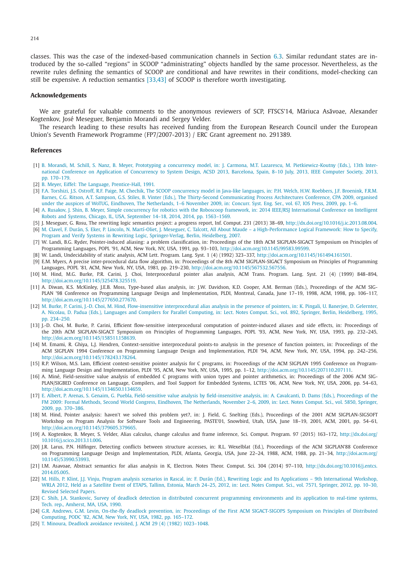classes. This was the case of the indexed-based communication channels in Section 6.3. Similar redundant states are introduced by the so-called "regions" in SCOOP "administrating" objects handled by the same processor. Nevertheless, as the rewrite rules defining the semantics of SCOOP are conditional and have rewrites in their conditions, model-checking can still be expensive. A reduction semantics [33,43] of SCOOP is therefore worth investigating.

#### **Acknowledgements**

We are grateful for valuable comments to the anonymous reviewers of SCP, FTSCS'14, Măriuca Asăvoae, Alexander Kogtenkov, José Meseguer, Benjamin Morandi and Sergey Velder.

The research leading to these results has received funding from the European Research Council under the European Union's Seventh Framework Programme (FP7/2007-2013) / ERC Grant agreement no. 291389.

#### **References**

- [1] B. Morandi, M. Schill, S. Nanz, B. Meyer, Prototyping a concurrency model, in: J. Carmona, M.T. Lazarescu, M. Pietkiewicz-Koutny (Eds.), 13th International Conference on Application of Concurrency to System Design, ACSD 2013, Barcelona, Spain, 8–10 July, 2013, IEEE Computer Society, 2013, pp. 170–179.
- [2] B. Meyer, Eiffel: The Language, Prentice-Hall, 1991.
- [3] F.A. Torshizi, J.S. Ostroff, R.F. Paige, M. Chechik, The SCOOP concurrency model in Java-like languages, in: P.H. Welch, H.W. Roebbers, J.F. Broenink, F.R.M. Barnes, C.G. Ritson, A.T. Sampson, G.S. Stiles, B. Vinter (Eds.), The Thirty-Second Communicating Process Architectures Conference, CPA 2009, organised under the auspices of WoTUG, Eindhoven, The Netherlands, 1–6 November 2009, in: Concurr. Syst. Eng. Ser., vol. 67, IOS Press, 2009, pp. 1–6.
- [4] A. Rusakov, J. Shin, B. Meyer, Simple concurrency for robotics with the Roboscoop framework, in: 2014 IEEE/RSJ International Conference on Intelligent Robots and Systems, Chicago, IL, USA, September 14–18, 2014, 2014, pp. 1563–1569.
- [5] J. Meseguer, G. Rosu, The rewriting logic semantics project: a progress report, Inf. Comput. 231 (2013) 38–69, http://dx.doi.org/10.1016/j.ic.2013.08.004. [6] M. Clavel, F. Durán, S. Eker, P. Lincoln, N. Martí-Oliet, J. Meseguer, C. Talcott, All About Maude – a High-Performance Logical Framework: How to Specify,
- Program and Verify Systems in Rewriting Logic, Springer-Verlag, Berlin, Heidelberg, 2007. [7] W. Landi, B.G. Ryder, Pointer-induced aliasing: a problem classification, in: Proceedings of the 18th ACM SIGPLAN-SIGACT Symposium on Principles of Programming Languages, POPL '91, ACM, New York, NY, USA, 1991, pp. 93–103, http://doi.acm.org/10.1145/99583.99599.
- [8] W. Landi, Undecidability of static analysis, ACM Lett. Program. Lang. Syst. 1 (4) (1992) 323–337, http://doi.acm.org/10.1145/161494.161501.
- [9] E.M. Myers, A precise inter-procedural data flow algorithm, in: Proceedings of the 8th ACM SIGPLAN-SIGACT Symposium on Principles of Programming Languages, POPL '81, ACM, New York, NY, USA, 1981, pp. 219–230, http://doi.acm.org/10.1145/567532.567556.
- [10] M. Hind, M.G. Burke, P.R. Carini, J. Choi, Interprocedural pointer alias analysis, ACM Trans. Program. Lang. Syst. 21 (4) (1999) 848–894, http://doi.acm.org/10.1145/325478.325519.
- [11] A. Diwan, K.S. McKinley, J.E.B. Moss, Type-based alias analysis, in: J.W. Davidson, K.D. Cooper, A.M. Berman (Eds.), Proceedings of the ACM SIG-PLAN '98 Conference on Programming Language Design and Implementation, PLDI, Montreal, Canada, June 17–19, 1998, ACM, 1998, pp. 106–117, http://doi.acm.org/10.1145/277650.277670.
- [12] M. Burke, P. Carini, J.-D. Choi, M. Hind, Flow-insensitive interprocedural alias analysis in the presence of pointers, in: K. Pingali, U. Banerjee, D. Gelernter, A. Nicolau, D. Padua (Eds.), Languages and Compilers for Parallel Computing, in: Lect. Notes Comput. Sci., vol. 892, Springer, Berlin, Heidelberg, 1995, pp. 234–250.
- [13] J.-D. Choi, M. Burke, P. Carini, Efficient flow-sensitive interprocedural computation of pointer-induced aliases and side effects, in: Proceedings of the 20th ACM SIGPLAN-SIGACT Symposium on Principles of Programming Languages, POPL '93, ACM, New York, NY, USA, 1993, pp. 232–245, http://doi.acm.org/10.1145/158511.158639.
- [14] M. Emami, R. Ghiya, L.J. Hendren, Context-sensitive interprocedural points-to analysis in the presence of function pointers, in: Proceedings of the ACM SIGPLAN 1994 Conference on Programming Language Design and Implementation, PLDI '94, ACM, New York, NY, USA, 1994, pp. 242–256, http://doi.acm.org/10.1145/178243.178264.
- [15] R.P. Wilson, M.S. Lam, Efficient context-sensitive pointer analysis for C programs, in: Proceedings of the ACM SIGPLAN 1995 Conference on Programming Language Design and Implementation, PLDI '95, ACM, New York, NY, USA, 1995, pp. 1–12, http://doi.acm.org/10.1145/207110.207111.
- [16] A. Miné, Field-sensitive value analysis of embedded C programs with union types and pointer arithmetics, in: Proceedings of the 2006 ACM SIG-PLAN/SIGBED Conference on Language, Compilers, and Tool Support for Embedded Systems, LCTES '06, ACM, New York, NY, USA, 2006, pp. 54–63, http://doi.acm.org/10.1145/1134650.1134659.
- [17] E. Albert, P. Arenas, S. Genaim, G. Puebla, Field-sensitive value analysis by field-insensitive analysis, in: A. Cavalcanti, D. Dams (Eds.), Proceedings of the FM 2009: Formal Methods, Second World Congress, Eindhoven, The Netherlands, November 2–6, 2009, in: Lect. Notes Comput. Sci., vol. 5850, Springer, 2009, pp. 370–386.
- [18] M. Hind, Pointer analysis: haven't we solved this problem yet?, in: J. Field, G. Snelting (Eds.), Proceedings of the 2001 ACM SIGPLAN-SIGSOFT Workshop on Program Analysis for Software Tools and Engineering, PASTE'01, Snowbird, Utah, USA, June 18–19, 2001, ACM, 2001, pp. 54–61, http://doi.acm.org/10.1145/379605.379665.
- [19] A. Kogtenkov, B. Meyer, S. Velder, Alias calculus, change calculus and frame inference, Sci. Comput. Program. 97 (2015) 163–172, http://dx.doi.org/ 10.1016/j.scico.2013.11.006.
- [20] J.R. Larus, P.N. Hilfinger, Detecting conflicts between structure accesses, in: R.L. Wexelblat (Ed.), Proceedings of the ACM SIGPLAN'88 Conference on Programming Language Design and Implementation, PLDI, Atlanta, Georgia, USA, June 22–24, 1988, ACM, 1988, pp. 21–34, http://doi.acm.org/ 10.1145/53990.53993.
- [21] I.M. Asavoae, Abstract semantics for alias analysis in K, Electron. Notes Theor. Comput. Sci. 304 (2014) 97-110, http://dx.doi.org/10.1016/j.entcs. 2014.05.005.
- [22] M. Hills, P. Klint, J.J. Vinju, Program analysis scenarios in Rascal, in: F. Durán (Ed.), Rewriting Logic and Its Applications 9th International Workshop, WRLA 2012, Held as a Satellite Event of ETAPS, Tallinn, Estonia, March 24–25, 2012, in: Lect. Notes Comput. Sci., vol. 7571, Springer, 2012, pp. 10–30, Revised Selected Papers.
- [23] C. Shih, J.A. Stankovic, Survey of deadlock detection in distributed concurrent programming environments and its application to real-time systems, Tech. rep., Amherst, MA, USA, 1990.
- [24] G.R. Andrews, G.M. Levin, On-the-fly deadlock prevention, in: Proceedings of the First ACM SIGACT-SIGOPS Symposium on Principles of Distributed Computing, PODC '82, ACM, New York, NY, USA, 1982, pp. 165–172.
- [25] T. Minoura, Deadlock avoidance revisited, J. ACM 29 (4) (1982) 1023-1048.